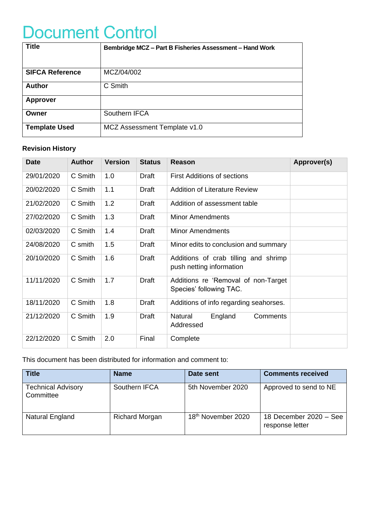# Document Control

| <b>Title</b>           | Bembridge MCZ - Part B Fisheries Assessment - Hand Work |
|------------------------|---------------------------------------------------------|
|                        |                                                         |
| <b>SIFCA Reference</b> | MCZ/04/002                                              |
| <b>Author</b>          | C Smith                                                 |
| <b>Approver</b>        |                                                         |
| Owner                  | Southern IFCA                                           |
| <b>Template Used</b>   | MCZ Assessment Template v1.0                            |

#### **Revision History**

| <b>Date</b> | <b>Author</b> | <b>Version</b> | <b>Status</b> | Reason                                                           | Approver(s) |
|-------------|---------------|----------------|---------------|------------------------------------------------------------------|-------------|
| 29/01/2020  | C Smith       | 1.0            | Draft         | <b>First Additions of sections</b>                               |             |
| 20/02/2020  | C Smith       | 1.1            | <b>Draft</b>  | <b>Addition of Literature Review</b>                             |             |
| 21/02/2020  | C Smith       | 1.2            | <b>Draft</b>  | Addition of assessment table                                     |             |
| 27/02/2020  | C Smith       | 1.3            | <b>Draft</b>  | <b>Minor Amendments</b>                                          |             |
| 02/03/2020  | C Smith       | 1.4            | <b>Draft</b>  | <b>Minor Amendments</b>                                          |             |
| 24/08/2020  | C smith       | 1.5            | Draft         | Minor edits to conclusion and summary                            |             |
| 20/10/2020  | C Smith       | 1.6            | Draft         | Additions of crab tilling and shrimp<br>push netting information |             |
| 11/11/2020  | C Smith       | 1.7            | <b>Draft</b>  | Additions re 'Removal of non-Target<br>Species' following TAC.   |             |
| 18/11/2020  | C Smith       | 1.8            | Draft         | Additions of info regarding seahorses.                           |             |
| 21/12/2020  | C Smith       | 1.9            | Draft         | England<br>Natural<br>Comments<br>Addressed                      |             |
| 22/12/2020  | C Smith       | 2.0            | Final         | Complete                                                         |             |

This document has been distributed for information and comment to:

| <b>Title</b>                           | <b>Name</b>           | Date sent          | <b>Comments received</b>                  |
|----------------------------------------|-----------------------|--------------------|-------------------------------------------|
| <b>Technical Advisory</b><br>Committee | Southern IFCA         | 5th November 2020  | Approved to send to NE                    |
| Natural England                        | <b>Richard Morgan</b> | 18th November 2020 | 18 December 2020 - See<br>response letter |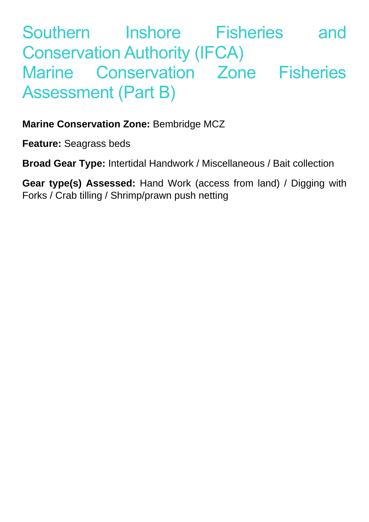# Southern Inshore Fisheries and Conservation Authority (IFCA) Marine Conservation Zone Fisheries Assessment (Part B)

**Marine Conservation Zone:** Bembridge MCZ

**Feature:** Seagrass beds

**Broad Gear Type:** Intertidal Handwork / Miscellaneous / Bait collection

**Gear type(s) Assessed:** Hand Work (access from land) / Digging with Forks / Crab tilling / Shrimp/prawn push netting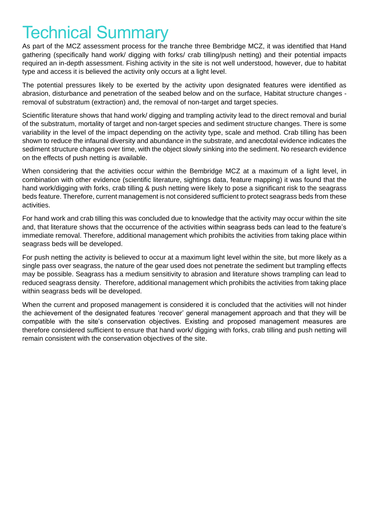# Technical Summary

As part of the MCZ assessment process for the tranche three Bembridge MCZ, it was identified that Hand gathering (specifically hand work/ digging with forks/ crab tilling/push netting) and their potential impacts required an in-depth assessment. Fishing activity in the site is not well understood, however, due to habitat type and access it is believed the activity only occurs at a light level.

The potential pressures likely to be exerted by the activity upon designated features were identified as abrasion, disturbance and penetration of the seabed below and on the surface, Habitat structure changes removal of substratum (extraction) and, the removal of non-target and target species.

Scientific literature shows that hand work/ digging and trampling activity lead to the direct removal and burial of the substratum, mortality of target and non-target species and sediment structure changes. There is some variability in the level of the impact depending on the activity type, scale and method. Crab tilling has been shown to reduce the infaunal diversity and abundance in the substrate, and anecdotal evidence indicates the sediment structure changes over time, with the object slowly sinking into the sediment. No research evidence on the effects of push netting is available.

When considering that the activities occur within the Bembridge MCZ at a maximum of a light level, in combination with other evidence (scientific literature, sightings data, feature mapping) it was found that the hand work/digging with forks, crab tilling & push netting were likely to pose a significant risk to the seagrass beds feature. Therefore, current management is not considered sufficient to protect seagrass beds from these activities.

For hand work and crab tilling this was concluded due to knowledge that the activity may occur within the site and, that literature shows that the occurrence of the activities within seagrass beds can lead to the feature's immediate removal. Therefore, additional management which prohibits the activities from taking place within seagrass beds will be developed.

For push netting the activity is believed to occur at a maximum light level within the site, but more likely as a single pass over seagrass, the nature of the gear used does not penetrate the sediment but trampling effects may be possible. Seagrass has a medium sensitivity to abrasion and literature shows trampling can lead to reduced seagrass density. Therefore, additional management which prohibits the activities from taking place within seagrass beds will be developed.

When the current and proposed management is considered it is concluded that the activities will not hinder the achievement of the designated features 'recover' general management approach and that they will be compatible with the site's conservation objectives. Existing and proposed management measures are therefore considered sufficient to ensure that hand work/ digging with forks, crab tilling and push netting will remain consistent with the conservation objectives of the site.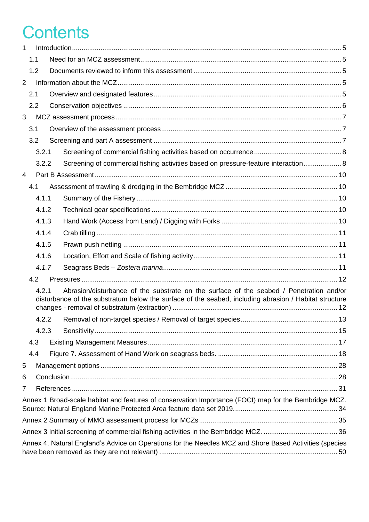# **Contents**

| $\mathbf{1}$   |     |       |  |                                                                                                                                                                                                  |  |  |  |  |  |
|----------------|-----|-------|--|--------------------------------------------------------------------------------------------------------------------------------------------------------------------------------------------------|--|--|--|--|--|
|                | 1.1 |       |  |                                                                                                                                                                                                  |  |  |  |  |  |
|                | 1.2 |       |  |                                                                                                                                                                                                  |  |  |  |  |  |
| $\overline{2}$ |     |       |  |                                                                                                                                                                                                  |  |  |  |  |  |
|                | 2.1 |       |  |                                                                                                                                                                                                  |  |  |  |  |  |
|                | 2.2 |       |  |                                                                                                                                                                                                  |  |  |  |  |  |
| 3              |     |       |  |                                                                                                                                                                                                  |  |  |  |  |  |
|                | 3.1 |       |  |                                                                                                                                                                                                  |  |  |  |  |  |
|                | 3.2 |       |  |                                                                                                                                                                                                  |  |  |  |  |  |
|                |     | 3.2.1 |  |                                                                                                                                                                                                  |  |  |  |  |  |
|                |     | 3.2.2 |  | Screening of commercial fishing activities based on pressure-feature interaction 8                                                                                                               |  |  |  |  |  |
| $\overline{4}$ |     |       |  |                                                                                                                                                                                                  |  |  |  |  |  |
|                | 4.1 |       |  |                                                                                                                                                                                                  |  |  |  |  |  |
|                |     | 4.1.1 |  |                                                                                                                                                                                                  |  |  |  |  |  |
|                |     | 4.1.2 |  |                                                                                                                                                                                                  |  |  |  |  |  |
|                |     | 4.1.3 |  |                                                                                                                                                                                                  |  |  |  |  |  |
|                |     | 4.1.4 |  |                                                                                                                                                                                                  |  |  |  |  |  |
|                |     | 4.1.5 |  |                                                                                                                                                                                                  |  |  |  |  |  |
|                |     | 4.1.6 |  |                                                                                                                                                                                                  |  |  |  |  |  |
|                |     | 4.1.7 |  |                                                                                                                                                                                                  |  |  |  |  |  |
|                | 4.2 |       |  |                                                                                                                                                                                                  |  |  |  |  |  |
|                |     | 4.2.1 |  | Abrasion/disturbance of the substrate on the surface of the seabed / Penetration and/or<br>disturbance of the substratum below the surface of the seabed, including abrasion / Habitat structure |  |  |  |  |  |
|                |     | 4.2.2 |  | Removal of non-target species / Removal of target species<br>13                                                                                                                                  |  |  |  |  |  |
|                |     | 4.2.3 |  |                                                                                                                                                                                                  |  |  |  |  |  |
|                | 4.3 |       |  |                                                                                                                                                                                                  |  |  |  |  |  |
|                | 4.4 |       |  |                                                                                                                                                                                                  |  |  |  |  |  |
| 5              |     |       |  |                                                                                                                                                                                                  |  |  |  |  |  |
| 6              |     |       |  |                                                                                                                                                                                                  |  |  |  |  |  |
| 7              |     |       |  |                                                                                                                                                                                                  |  |  |  |  |  |
|                |     |       |  | Annex 1 Broad-scale habitat and features of conservation Importance (FOCI) map for the Bembridge MCZ.                                                                                            |  |  |  |  |  |
|                |     |       |  |                                                                                                                                                                                                  |  |  |  |  |  |
|                |     |       |  |                                                                                                                                                                                                  |  |  |  |  |  |
|                |     |       |  | Annex 4. Natural England's Advice on Operations for the Needles MCZ and Shore Based Activities (species                                                                                          |  |  |  |  |  |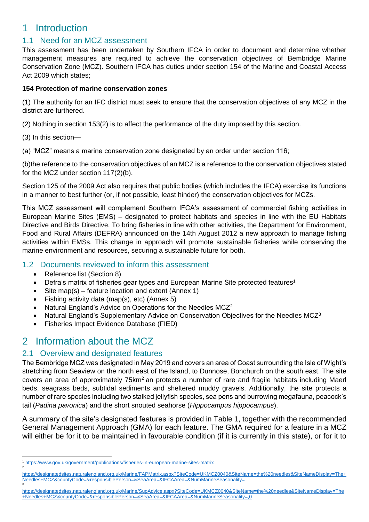## <span id="page-4-0"></span>1 Introduction

## <span id="page-4-1"></span>1.1 Need for an MCZ assessment

This assessment has been undertaken by Southern IFCA in order to document and determine whether management measures are required to achieve the conservation objectives of Bembridge Marine Conservation Zone (MCZ). Southern IFCA has duties under section 154 of the Marine and Coastal Access Act 2009 which states;

#### **154 Protection of marine conservation zones**

(1) The authority for an IFC district must seek to ensure that the conservation objectives of any MCZ in the district are furthered.

(2) Nothing in section 153(2) is to affect the performance of the duty imposed by this section.

(3) In this section—

(a) "MCZ" means a marine conservation zone designated by an order under section 116;

(b)the reference to the conservation objectives of an MCZ is a reference to the conservation objectives stated for the MCZ under section 117(2)(b).

Section 125 of the 2009 Act also requires that public bodies (which includes the IFCA) exercise its functions in a manner to best further (or, if not possible, least hinder) the conservation objectives for MCZs.

This MCZ assessment will complement Southern IFCA's assessment of commercial fishing activities in European Marine Sites (EMS) – designated to protect habitats and species in line with the EU Habitats Directive and Birds Directive. To bring fisheries in line with other activities, the Department for Environment, Food and Rural Affairs (DEFRA) announced on the 14th August 2012 a new approach to manage fishing activities within EMSs. This change in approach will promote sustainable fisheries while conserving the marine environment and resources, securing a sustainable future for both.

#### <span id="page-4-2"></span>1.2 Documents reviewed to inform this assessment

- Reference list (Section 8)
- Defra's matrix of fisheries gear types and European Marine Site protected features<sup>1</sup>
- Site map(s) feature location and extent (Annex 1)
- Fishing activity data (map(s), etc) (Annex 5)
- Natural England's Advice on Operations for the Needles MCZ<sup>2</sup>
- Natural England's Supplementary Advice on Conservation Objectives for the Needles MCZ<sup>3</sup>
- Fisheries Impact Evidence Database (FIED)

## <span id="page-4-3"></span>2 Information about the MCZ

### <span id="page-4-4"></span>2.1 Overview and designated features

The Bembridge MCZ was designated in May 2019 and covers an area of Coast surrounding the Isle of Wight's stretching from Seaview on the north east of the Island, to Dunnose, Bonchurch on the south east. The site covers an area of approximately 75km<sup>2</sup> an protects a number of rare and fragile habitats including Maerl beds, seagrass beds, subtidal sediments and sheltered muddy gravels. Additionally, the site protects a number of rare species including two stalked jellyfish species, sea pens and burrowing megafauna, peacock's tail (*Padina pavonica*) and the short snouted seahorse (*Hippocampus hippocampus*).

A summary of the site's designated features is provided in Table 1, together with the recommended General Management Approach (GMA) for each feature. The GMA required for a feature in a MCZ will either be for it to be maintained in favourable condition (if it is currently in this state), or for it to

[https://designatedsites.naturalengland.org.uk/Marine/SupAdvice.aspx?SiteCode=UKMCZ0040&SiteName=the%20needles&SiteNameDisplay=The](https://designatedsites.naturalengland.org.uk/Marine/SupAdvice.aspx?SiteCode=UKMCZ0040&SiteName=the%20needles&SiteNameDisplay=The+Needles+MCZ&countyCode=&responsiblePerson=&SeaArea=&IFCAArea=&NumMarineSeasonality=,0) [+Needles+MCZ&countyCode=&responsiblePerson=&SeaArea=&IFCAArea=&NumMarineSeasonality=,0](https://designatedsites.naturalengland.org.uk/Marine/SupAdvice.aspx?SiteCode=UKMCZ0040&SiteName=the%20needles&SiteNameDisplay=The+Needles+MCZ&countyCode=&responsiblePerson=&SeaArea=&IFCAArea=&NumMarineSeasonality=,0)

<sup>1</sup> <https://www.gov.uk/government/publications/fisheries-in-european-marine-sites-matrix> 2

[https://designatedsites.naturalengland.org.uk/Marine/FAPMatrix.aspx?SiteCode=UKMCZ0040&SiteName=the%20needles&SiteNameDisplay=The+](https://designatedsites.naturalengland.org.uk/Marine/FAPMatrix.aspx?SiteCode=UKMCZ0040&SiteName=the%20needles&SiteNameDisplay=The+Needles+MCZ&countyCode=&responsiblePerson=&SeaArea=&IFCAArea=&NumMarineSeasonality=) [Needles+MCZ&countyCode=&responsiblePerson=&SeaArea=&IFCAArea=&NumMarineSeasonality=](https://designatedsites.naturalengland.org.uk/Marine/FAPMatrix.aspx?SiteCode=UKMCZ0040&SiteName=the%20needles&SiteNameDisplay=The+Needles+MCZ&countyCode=&responsiblePerson=&SeaArea=&IFCAArea=&NumMarineSeasonality=) 3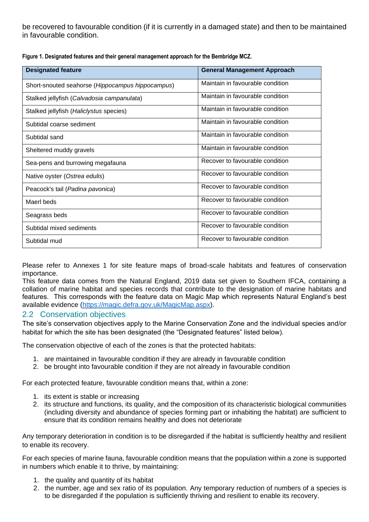be recovered to favourable condition (if it is currently in a damaged state) and then to be maintained in favourable condition.

| <b>Designated feature</b>                        | <b>General Management Approach</b> |
|--------------------------------------------------|------------------------------------|
| Short-snouted seahorse (Hippocampus hippocampus) | Maintain in favourable condition   |
| Stalked jellyfish (Calvadosia campanulata)       | Maintain in favourable condition   |
| Stalked jellyfish (Haliclystus species)          | Maintain in favourable condition   |
| Subtidal coarse sediment                         | Maintain in favourable condition   |
| Subtidal sand                                    | Maintain in favourable condition   |
| Sheltered muddy gravels                          | Maintain in favourable condition   |
| Sea-pens and burrowing megafauna                 | Recover to favourable condition    |
| Native oyster (Ostrea edulis)                    | Recover to favourable condition    |
| Peacock's tail (Padina pavonica)                 | Recover to favourable condition    |
| Maerl beds                                       | Recover to favourable condition    |
| Seagrass beds                                    | Recover to favourable condition    |
| Subtidal mixed sediments                         | Recover to favourable condition    |
| Subtidal mud                                     | Recover to favourable condition    |

**Figure 1. Designated features and their general management approach for the Bembridge MCZ.** 

Please refer to Annexes 1 for site feature maps of broad-scale habitats and features of conservation importance.

This feature data comes from the Natural England, 2019 data set given to Southern IFCA, containing a collation of marine habitat and species records that contribute to the designation of marine habitats and features. This corresponds with the feature data on Magic Map which represents Natural England's best available evidence [\(https://magic.defra.gov.uk/MagicMap.aspx\)](https://magic.defra.gov.uk/MagicMap.aspx).

### <span id="page-5-0"></span>2.2 Conservation objectives

The site's conservation objectives apply to the Marine Conservation Zone and the individual species and/or habitat for which the site has been designated (the "Designated features" listed below).

The conservation objective of each of the zones is that the protected habitats:

- 1. are maintained in favourable condition if they are already in favourable condition
- 2. be brought into favourable condition if they are not already in favourable condition

For each protected feature, favourable condition means that, within a zone:

- 1. its extent is stable or increasing
- 2. its structure and functions, its quality, and the composition of its characteristic biological communities (including diversity and abundance of species forming part or inhabiting the habitat) are sufficient to ensure that its condition remains healthy and does not deteriorate

Any temporary deterioration in condition is to be disregarded if the habitat is sufficiently healthy and resilient to enable its recovery.

For each species of marine fauna, favourable condition means that the population within a zone is supported in numbers which enable it to thrive, by maintaining:

- 1. the quality and quantity of its habitat
- 2. the number, age and sex ratio of its population. Any temporary reduction of numbers of a species is to be disregarded if the population is sufficiently thriving and resilient to enable its recovery.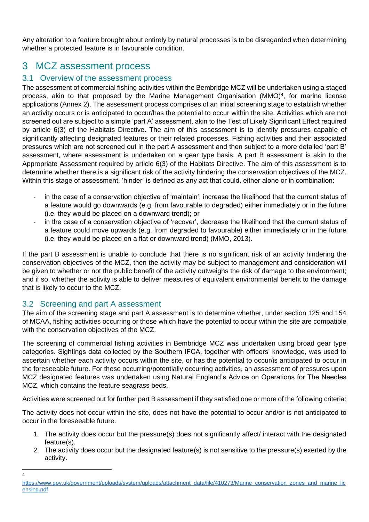Any alteration to a feature brought about entirely by natural processes is to be disregarded when determining whether a protected feature is in favourable condition.

## <span id="page-6-0"></span>3 MCZ assessment process

#### <span id="page-6-1"></span>3.1 Overview of the assessment process

The assessment of commercial fishing activities within the Bembridge MCZ will be undertaken using a staged process, akin to that proposed by the Marine Management Organisation (MMO)<sup>4</sup>, for marine license applications (Annex 2). The assessment process comprises of an initial screening stage to establish whether an activity occurs or is anticipated to occur/has the potential to occur within the site. Activities which are not screened out are subject to a simple 'part A' assessment, akin to the Test of Likely Significant Effect required by article 6(3) of the Habitats Directive. The aim of this assessment is to identify pressures capable of significantly affecting designated features or their related processes. Fishing activities and their associated pressures which are not screened out in the part A assessment and then subject to a more detailed 'part B' assessment, where assessment is undertaken on a gear type basis. A part B assessment is akin to the Appropriate Assessment required by article 6(3) of the Habitats Directive. The aim of this assessment is to determine whether there is a significant risk of the activity hindering the conservation objectives of the MCZ. Within this stage of assessment, 'hinder' is defined as any act that could, either alone or in combination:

- in the case of a conservation objective of 'maintain', increase the likelihood that the current status of a feature would go downwards (e.g. from favourable to degraded) either immediately or in the future (i.e. they would be placed on a downward trend); or
- in the case of a conservation objective of 'recover', decrease the likelihood that the current status of a feature could move upwards (e.g. from degraded to favourable) either immediately or in the future (i.e. they would be placed on a flat or downward trend) (MMO, 2013).

If the part B assessment is unable to conclude that there is no significant risk of an activity hindering the conservation objectives of the MCZ, then the activity may be subject to management and consideration will be given to whether or not the public benefit of the activity outweighs the risk of damage to the environment; and if so, whether the activity is able to deliver measures of equivalent environmental benefit to the damage that is likely to occur to the MCZ.

### <span id="page-6-2"></span>3.2 Screening and part A assessment

4

The aim of the screening stage and part A assessment is to determine whether, under section 125 and 154 of MCAA, fishing activities occurring or those which have the potential to occur within the site are compatible with the conservation objectives of the MCZ.

The screening of commercial fishing activities in Bembridge MCZ was undertaken using broad gear type categories. Sightings data collected by the Southern IFCA, together with officers' knowledge, was used to ascertain whether each activity occurs within the site, or has the potential to occur/is anticipated to occur in the foreseeable future. For these occurring/potentially occurring activities, an assessment of pressures upon MCZ designated features was undertaken using Natural England's Advice on Operations for The Needles MCZ, which contains the feature seagrass beds.

Activities were screened out for further part B assessment if they satisfied one or more of the following criteria:

The activity does not occur within the site, does not have the potential to occur and/or is not anticipated to occur in the foreseeable future.

- 1. The activity does occur but the pressure(s) does not significantly affect/ interact with the designated feature(s).
- 2. The activity does occur but the designated feature(s) is not sensitive to the pressure(s) exerted by the activity.

[https://www.gov.uk/government/uploads/system/uploads/attachment\\_data/file/410273/Marine\\_conservation\\_zones\\_and\\_marine\\_lic](https://www.gov.uk/government/uploads/system/uploads/attachment_data/file/410273/Marine_conservation_zones_and_marine_licensing.pdf) [ensing.pdf](https://www.gov.uk/government/uploads/system/uploads/attachment_data/file/410273/Marine_conservation_zones_and_marine_licensing.pdf)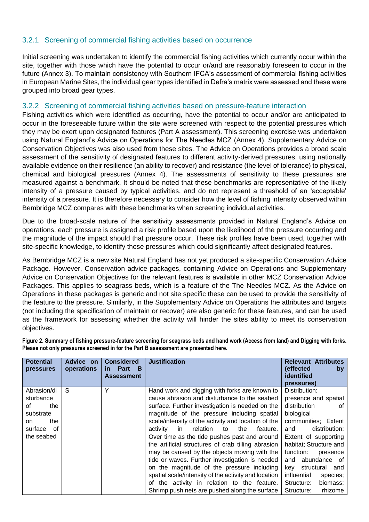#### <span id="page-7-0"></span>3.2.1 Screening of commercial fishing activities based on occurrence

Initial screening was undertaken to identify the commercial fishing activities which currently occur within the site, together with those which have the potential to occur or/and are reasonably foreseen to occur in the future (Annex 3). To maintain consistency with Southern IFCA's assessment of commercial fishing activities in European Marine Sites, the individual gear types identified in Defra's matrix were assessed and these were grouped into broad gear types.

#### <span id="page-7-1"></span>3.2.2 Screening of commercial fishing activities based on pressure-feature interaction

Fishing activities which were identified as occurring, have the potential to occur and/or are anticipated to occur in the foreseeable future within the site were screened with respect to the potential pressures which they may be exert upon designated features (Part A assessment). This screening exercise was undertaken using Natural England's Advice on Operations for The Needles MCZ (Annex 4). Supplementary Advice on Conservation Objectives was also used from these sites. The Advice on Operations provides a broad scale assessment of the sensitivity of designated features to different activity-derived pressures, using nationally available evidence on their resilience (an ability to recover) and resistance (the level of tolerance) to physical, chemical and biological pressures (Annex 4). The assessments of sensitivity to these pressures are measured against a benchmark. It should be noted that these benchmarks are representative of the likely intensity of a pressure caused by typical activities, and do not represent a threshold of an 'acceptable' intensity of a pressure. It is therefore necessary to consider how the level of fishing intensity observed within Bembridge MCZ compares with these benchmarks when screening individual activities.

Due to the broad-scale nature of the sensitivity assessments provided in Natural England's Advice on operations, each pressure is assigned a risk profile based upon the likelihood of the pressure occurring and the magnitude of the impact should that pressure occur. These risk profiles have been used, together with site-specific knowledge, to identify those pressures which could significantly affect designated features.

As Bembridge MCZ is a new site Natural England has not yet produced a site-specific Conservation Advice Package. However, Conservation advice packages, containing Advice on Operations and Supplementary Advice on Conservation Objectives for the relevant features is available in other MCZ Conservation Advice Packages. This applies to seagrass beds, which is a feature of the The Needles MCZ. As the Advice on Operations in these packages is generic and not site specific these can be used to provide the sensitivity of the feature to the pressure. Similarly, in the Supplementary Advice on Operations the attributes and targets (not including the specification of maintain or recover) are also generic for these features, and can be used as the framework for assessing whether the activity will hinder the sites ability to meet its conservation objectives.

**Figure 2. Summary of fishing pressure-feature screening for seagrass beds and hand work (Access from land) and Digging with forks. Please not only pressures screened in for the Part B assessment are presented here.**

| <b>Potential</b><br><b>pressures</b> | Advice on<br>operations | <b>Considered</b><br>Part<br>- в<br>in.<br>Assessment | <b>Justification</b>                                 | <b>Relevant Attributes</b><br>(effected<br>by<br>identified<br>pressures) |
|--------------------------------------|-------------------------|-------------------------------------------------------|------------------------------------------------------|---------------------------------------------------------------------------|
| Abrasion/di                          | S                       | Υ                                                     | Hand work and digging with forks are known to        | Distribution:                                                             |
| sturbance                            |                         |                                                       | cause abrasion and disturbance to the seabed         | presence and spatial                                                      |
| Ωf<br>the                            |                         |                                                       | surface. Further investigation is needed on the      | distribution<br>0f                                                        |
| substrate                            |                         |                                                       | magnitude of the pressure including spatial          | biological                                                                |
| the<br>on.                           |                         |                                                       | scale/intensity of the activity and location of the  | communities; Extent                                                       |
| surface of                           |                         |                                                       | relation<br>feature.<br>activity<br>the<br>in.<br>to | distribution;<br>and                                                      |
| the seabed                           |                         |                                                       | Over time as the tide pushes past and around         | Extent of supporting                                                      |
|                                      |                         |                                                       | the artificial structures of crab tilling abrasion   | habitat; Structure and                                                    |
|                                      |                         |                                                       | may be caused by the objects moving with the         | function:<br>presence                                                     |
|                                      |                         |                                                       | tide or waves. Further investigation is needed       | abundance of<br>and                                                       |
|                                      |                         |                                                       | on the magnitude of the pressure including           | key structural and                                                        |
|                                      |                         |                                                       | spatial scale/intensity of the activity and location | influential<br>species;                                                   |
|                                      |                         |                                                       | of the activity in relation to the feature.          | biomass;<br>Structure:                                                    |
|                                      |                         |                                                       | Shrimp push nets are pushed along the surface        | Structure:<br>rhizome                                                     |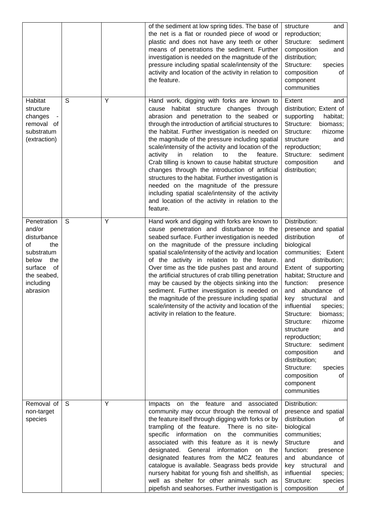|                                                                                                                                          |   |   | of the sediment at low spring tides. The base of<br>the net is a flat or rounded piece of wood or<br>plastic and does not have any teeth or other<br>means of penetrations the sediment. Further<br>investigation is needed on the magnitude of the<br>pressure including spatial scale/intensity of the<br>activity and location of the activity in relation to<br>the feature.                                                                                                                                                                                                                                                                                                                                                              | structure<br>and<br>reproduction;<br>Structure: sediment<br>composition<br>and<br>distribution;<br>Structure:<br>species<br>composition<br>οf<br>component<br>communities                                                                                                                                                                                                                                                                                                                                         |
|------------------------------------------------------------------------------------------------------------------------------------------|---|---|-----------------------------------------------------------------------------------------------------------------------------------------------------------------------------------------------------------------------------------------------------------------------------------------------------------------------------------------------------------------------------------------------------------------------------------------------------------------------------------------------------------------------------------------------------------------------------------------------------------------------------------------------------------------------------------------------------------------------------------------------|-------------------------------------------------------------------------------------------------------------------------------------------------------------------------------------------------------------------------------------------------------------------------------------------------------------------------------------------------------------------------------------------------------------------------------------------------------------------------------------------------------------------|
| Habitat<br>structure<br>changes<br>removal of<br>substratum<br>(extraction)                                                              | S | Y | Hand work, digging with forks are known to<br>habitat structure changes through<br>cause<br>abrasion and penetration to the seabed or<br>through the introduction of artificial structures to<br>the habitat. Further investigation is needed on<br>the magnitude of the pressure including spatial<br>scale/intensity of the activity and location of the<br>activity<br>in<br>relation<br>to<br>the<br>feature.<br>Crab tilling is known to cause habitat structure<br>changes through the introduction of artificial<br>structures to the habitat. Further investigation is<br>needed on the magnitude of the pressure<br>including spatial scale/intensity of the activity<br>and location of the activity in relation to the<br>feature. | Extent<br>and<br>distribution; Extent of<br>supporting<br>habitat;<br>Structure:<br>biomass;<br>Structure:<br>rhizome<br>structure<br>and<br>reproduction;<br>Structure:<br>sediment<br>composition<br>and<br>distribution;                                                                                                                                                                                                                                                                                       |
| Penetration<br>and/or<br>disturbance<br>of<br>the<br>substratum<br>below<br>the<br>surface<br>of<br>the seabed,<br>including<br>abrasion | S | Υ | Hand work and digging with forks are known to<br>cause penetration and disturbance to the<br>seabed surface. Further investigation is needed<br>on the magnitude of the pressure including<br>spatial scale/intensity of the activity and location<br>of the activity in relation to the feature.<br>Over time as the tide pushes past and around<br>the artificial structures of crab tilling penetration<br>may be caused by the objects sinking into the<br>sediment. Further investigation is needed on<br>the magnitude of the pressure including spatial<br>scale/intensity of the activity and location of the<br>activity in relation to the feature.                                                                                 | Distribution:<br>presence and spatial<br>distribution<br>οf<br>biological<br>communities; Extent<br>and<br>distribution;<br>Extent of supporting<br>habitat; Structure and<br>function:<br>presence<br>and<br>abundance of<br>key<br>structural and<br>influential<br>species;<br>Structure:<br>biomass;<br>Structure:<br>rhizome<br>structure<br>and<br>reproduction;<br>Structure:<br>sediment<br>composition<br>and<br>distribution;<br>Structure:<br>species<br>composition<br>οf<br>component<br>communities |
| Removal of<br>non-target<br>species                                                                                                      | S | Y | Impacts on the feature and associated<br>community may occur through the removal of<br>the feature itself through digging with forks or by<br>trampling of the feature. There is no site-<br>specific information on the communities<br>associated with this feature as it is newly<br>designated. General information<br>on the<br>designated features from the MCZ features<br>catalogue is available. Seagrass beds provide<br>nursery habitat for young fish and shellfish, as<br>well as shelter for other animals such as<br>pipefish and seahorses. Further investigation is                                                                                                                                                           | Distribution:<br>presence and spatial<br>distribution<br>οf<br>biological<br>communities;<br><b>Structure</b><br>and<br>function:<br>presence<br>and abundance of<br>structural<br>key<br>and<br>influential<br>species;<br>Structure:<br>species<br>composition<br>ot                                                                                                                                                                                                                                            |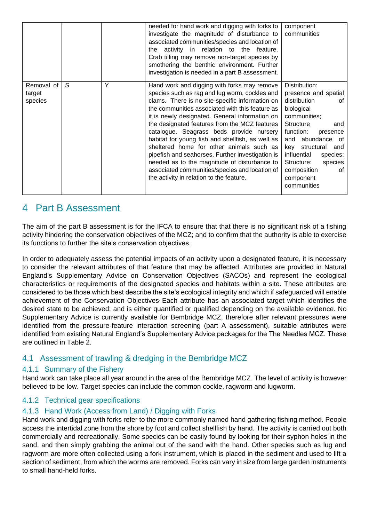|                                 |   |   | needed for hand work and digging with forks to<br>investigate the magnitude of disturbance to<br>associated communities/species and location of<br>the activity in relation to the feature.<br>Crab tilling may remove non-target species by<br>smothering the benthic environment. Further<br>investigation is needed in a part B assessment.                                                                                                                                                                                                                                                                                                      | component<br>communities                                                                                                                                                                                                                                                                        |
|---------------------------------|---|---|-----------------------------------------------------------------------------------------------------------------------------------------------------------------------------------------------------------------------------------------------------------------------------------------------------------------------------------------------------------------------------------------------------------------------------------------------------------------------------------------------------------------------------------------------------------------------------------------------------------------------------------------------------|-------------------------------------------------------------------------------------------------------------------------------------------------------------------------------------------------------------------------------------------------------------------------------------------------|
| Removal of<br>target<br>species | S | Y | Hand work and digging with forks may remove<br>species such as rag and lug worm, cockles and<br>clams. There is no site-specific information on<br>the communities associated with this feature as<br>it is newly designated. General information on<br>the designated features from the MCZ features<br>catalogue. Seagrass beds provide nursery<br>habitat for young fish and shellfish, as well as<br>sheltered home for other animals such as<br>pipefish and seahorses. Further investigation is<br>needed as to the magnitude of disturbance to<br>associated communities/species and location of<br>the activity in relation to the feature. | Distribution:<br>presence and spatial<br>distribution<br>οf<br>biological<br>communities;<br><b>Structure</b><br>and<br>function:<br>presence<br>and abundance of<br>key structural<br>and<br>influential<br>species;<br>species<br>Structure:<br>composition<br>οf<br>component<br>communities |

## <span id="page-9-0"></span>4 Part B Assessment

The aim of the part B assessment is for the IFCA to ensure that that there is no significant risk of a fishing activity hindering the conservation objectives of the MCZ; and to confirm that the authority is able to exercise its functions to further the site's conservation objectives.

In order to adequately assess the potential impacts of an activity upon a designated feature, it is necessary to consider the relevant attributes of that feature that may be affected. Attributes are provided in Natural England's Supplementary Advice on Conservation Objectives (SACOs) and represent the ecological characteristics or requirements of the designated species and habitats within a site. These attributes are considered to be those which best describe the site's ecological integrity and which if safeguarded will enable achievement of the Conservation Objectives. Each attribute has an associated target which identifies the desired state to be achieved; and is either quantified or qualified depending on the available evidence. No Supplementary Advice is currently available for Bembridge MCZ, therefore after relevant pressures were identified from the pressure-feature interaction screening (part A assessment), suitable attributes were identified from existing Natural England's Supplementary Advice packages for the The Needles MCZ. These are outlined in Table 2.

### <span id="page-9-1"></span>4.1 Assessment of trawling & dredging in the Bembridge MCZ

#### <span id="page-9-2"></span>4.1.1 Summary of the Fishery

Hand work can take place all year around in the area of the Bembridge MCZ. The level of activity is however believed to be low. Target species can include the common cockle, ragworm and lugworm.

#### <span id="page-9-3"></span>4.1.2 Technical gear specifications

#### <span id="page-9-4"></span>4.1.3 Hand Work (Access from Land) / Digging with Forks

Hand work and digging with forks refer to the more commonly named hand gathering fishing method. People access the intertidal zone from the shore by foot and collect shellfish by hand. The activity is carried out both commercially and recreationally. Some species can be easily found by looking for their syphon holes in the sand, and then simply grabbing the animal out of the sand with the hand. Other species such as lug and ragworm are more often collected using a fork instrument, which is placed in the sediment and used to lift a section of sediment, from which the worms are removed. Forks can vary in size from large garden instruments to small hand-held forks.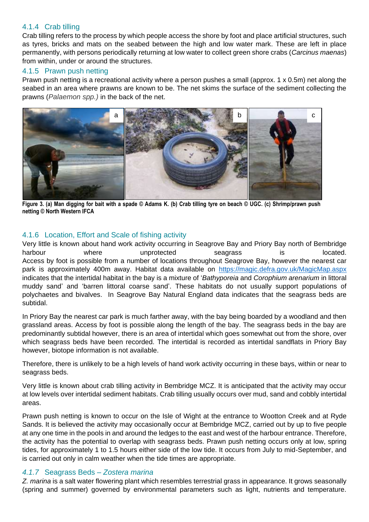#### <span id="page-10-0"></span>4.1.4 Crab tilling

Crab tilling refers to the process by which people access the shore by foot and place artificial structures, such as tyres, bricks and mats on the seabed between the high and low water mark. These are left in place permanently, with persons periodically returning at low water to collect green shore crabs (*Carcinus maenas*) from within, under or around the structures.

#### <span id="page-10-1"></span>4.1.5 Prawn push netting

Prawn push netting is a recreational activity where a person pushes a small (approx. 1 x 0.5m) net along the seabed in an area where prawns are known to be. The net skims the surface of the sediment collecting the prawns (*Palaemon spp.)* in the back of the net.



**Figure 3. (a) Man digging for bait with a spade © Adams K. (b) Crab tilling tyre on beach © UGC. (c) Shrimp/prawn push netting © North Western IFCA**

#### <span id="page-10-2"></span>4.1.6 Location, Effort and Scale of fishing activity

Very little is known about hand work activity occurring in Seagrove Bay and Priory Bay north of Bembridge harbour where unprotected seagrass is located. Access by foot is possible from a number of locations throughout Seagrove Bay, however the nearest car park is approximately 400m away. Habitat data available on <https://magic.defra.gov.uk/MagicMap.aspx> indicates that the intertidal habitat in the bay is a mixture of '*Bathyporeia* and *Corophium arenarium* in littoral muddy sand' and 'barren littoral coarse sand'. These habitats do not usually support populations of polychaetes and bivalves. In Seagrove Bay Natural England data indicates that the seagrass beds are subtidal.

In Priory Bay the nearest car park is much farther away, with the bay being boarded by a woodland and then grassland areas. Access by foot is possible along the length of the bay. The seagrass beds in the bay are predominantly subtidal however, there is an area of intertidal which goes somewhat out from the shore, over which seagrass beds have been recorded. The intertidal is recorded as intertidal sandflats in Priory Bay however, biotope information is not available.

Therefore, there is unlikely to be a high levels of hand work activity occurring in these bays, within or near to seagrass beds.

Very little is known about crab tilling activity in Bembridge MCZ. It is anticipated that the activity may occur at low levels over intertidal sediment habitats. Crab tilling usually occurs over mud, sand and cobbly intertidal areas.

Prawn push netting is known to occur on the Isle of Wight at the entrance to Wootton Creek and at Ryde Sands. It is believed the activity may occasionally occur at Bembridge MCZ, carried out by up to five people at any one time in the pools in and around the ledges to the east and west of the harbour entrance. Therefore, the activity has the potential to overlap with seagrass beds. Prawn push netting occurs only at low, spring tides, for approximately 1 to 1.5 hours either side of the low tide. It occurs from July to mid-September, and is carried out only in calm weather when the tide times are appropriate.

#### <span id="page-10-3"></span>*4.1.7* Seagrass Beds – *Zostera marina*

*Z. marina* is a salt water flowering plant which resembles terrestrial grass in appearance. It grows seasonally (spring and summer) governed by environmental parameters such as light, nutrients and temperature.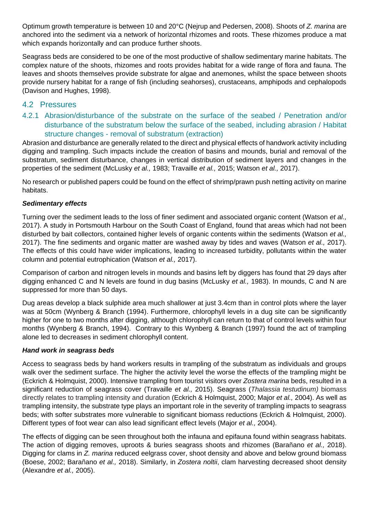Optimum growth temperature is between 10 and 20°C (Nejrup and Pedersen, 2008). Shoots of *Z. marina* are anchored into the sediment via a network of horizontal rhizomes and roots. These rhizomes produce a mat which expands horizontally and can produce further shoots.

Seagrass beds are considered to be one of the most productive of shallow sedimentary marine habitats. The complex nature of the shoots, rhizomes and roots provides habitat for a wide range of flora and fauna. The leaves and shoots themselves provide substrate for algae and anemones, whilst the space between shoots provide nursery habitat for a range of fish (including seahorses), crustaceans, amphipods and cephalopods (Davison and Hughes, 1998).

#### <span id="page-11-0"></span>4.2 Pressures

<span id="page-11-1"></span>4.2.1 Abrasion/disturbance of the substrate on the surface of the seabed / Penetration and/or disturbance of the substratum below the surface of the seabed, including abrasion / Habitat structure changes - removal of substratum (extraction)

Abrasion and disturbance are generally related to the direct and physical effects of handwork activity including digging and trampling. Such impacts include the creation of basins and mounds, burial and removal of the substratum, sediment disturbance, changes in vertical distribution of sediment layers and changes in the properties of the sediment (McLusky *et al.,* 1983; Travaille *et al.,* 2015; Watson *et al.,* 2017).

No research or published papers could be found on the effect of shrimp/prawn push netting activity on marine habitats.

#### *Sedimentary effects*

Turning over the sediment leads to the loss of finer sediment and associated organic content (Watson *et al.,* 2017). A study in Portsmouth Harbour on the South Coast of England, found that areas which had not been disturbed by bait collectors, contained higher levels of organic contents within the sediments (Watson *et al.,* 2017). The fine sediments and organic matter are washed away by tides and waves (Watson *et al.,* 2017). The effects of this could have wider implications, leading to increased turbidity, pollutants within the water column and potential eutrophication (Watson *et al.,* 2017).

Comparison of carbon and nitrogen levels in mounds and basins left by diggers has found that 29 days after digging enhanced C and N levels are found in dug basins (McLusky *et al.,* 1983). In mounds, C and N are suppressed for more than 50 days.

Dug areas develop a black sulphide area much shallower at just 3.4cm than in control plots where the layer was at 50cm (Wynberg & Branch (1994). Furthermore, chlorophyll levels in a dug site can be significantly higher for one to two months after digging, although chlorophyll can return to that of control levels within four months (Wynberg & Branch, 1994). Contrary to this Wynberg & Branch (1997) found the act of trampling alone led to decreases in sediment chlorophyll content.

#### *Hand work in seagrass beds*

Access to seagrass beds by hand workers results in trampling of the substratum as individuals and groups walk over the sediment surface. The higher the activity level the worse the effects of the trampling might be (Eckrich & Holmquist, 2000). Intensive trampling from tourist visitors over *Zostera marina* beds, resulted in a significant reduction of seagrass cover (Travaille *et al.,* 2015). Seagrass (*Thalassia testudinum)* biomass directly relates to trampling intensity and duration (Eckrich & Holmquist, 2000; Major *et al.,* 2004). As well as trampling intensity, the substrate type plays an important role in the severity of trampling impacts to seagrass beds; with softer substrates more vulnerable to significant biomass reductions (Eckrich & Holmquist, 2000). Different types of foot wear can also lead significant effect levels (Major *et al.,* 2004).

The effects of digging can be seen throughout both the infauna and epifauna found within seagrass habitats. The action of digging removes, uproots & buries seagrass shoots and rhizomes (Barañano *et al.,* 2018). Digging for clams in *Z. marina* reduced eelgrass cover, shoot density and above and below ground biomass (Boese, 2002; Barañano *et al.,* 2018). Similarly, in *Zostera noltii*, clam harvesting decreased shoot density (Alexandre *et al.,* 2005).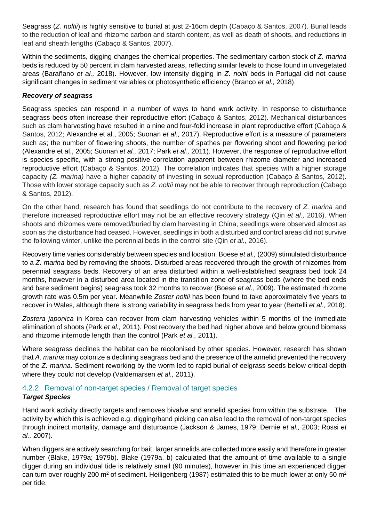Seagrass (*Z. noltii*) is highly sensitive to burial at just 2-16cm depth (Cabaço & Santos, 2007). Burial leads to the reduction of leaf and rhizome carbon and starch content, as well as death of shoots, and reductions in leaf and sheath lengths (Cabaço & Santos, 2007).

Within the sediments, digging changes the chemical properties. The sedimentary carbon stock of *Z. marina* beds is reduced by 50 percent in clam harvested areas, reflecting similar levels to those found in unvegetated areas (Barañano *et al.,* 2018). However, low intensity digging in *Z. noltii* beds in Portugal did not cause significant changes in sediment variables or photosynthetic efficiency (Branco *et al.,* 2018).

#### *Recovery of seagrass*

Seagrass species can respond in a number of ways to hand work activity. In response to disturbance seagrass beds often increase their reproductive effort (Cabaço & Santos, 2012). Mechanical disturbances such as clam harvesting have resulted in a nine and four-fold increase in plant reproductive effort (Cabaço & Santos, 2012; Alexandre et al., 2005; Suonan *et al.,* 2017). Reproductive effort is a measure of parameters such as; the number of flowering shoots, the number of spathes per flowering shoot and flowering period (Alexandre et al., 2005; Suonan *et al.,* 2017; Park *et al.,* 2011). However, the response of reproductive effort is species specific, with a strong positive correlation apparent between rhizome diameter and increased reproductive effort (Cabaço & Santos, 2012). The correlation indicates that species with a higher storage capacity *(Z. marina)* have a higher capacity of investing in sexual reproduction (Cabaço & Santos, 2012). Those with lower storage capacity such as *Z. noltii* may not be able to recover through reproduction (Cabaço & Santos, 2012).

On the other hand, research has found that seedlings do not contribute to the recovery of *Z. marina* and therefore increased reproductive effort may not be an effective recovery strategy (Qin *et al.,* 2016). When shoots and rhizomes were removed/buried by clam harvesting in China, seedlings were observed almost as soon as the disturbance had ceased. However, seedlings in both a disturbed and control areas did not survive the following winter, unlike the perennial beds in the control site (Qin *et al.,* 2016).

Recovery time varies considerably between species and location. Boese *et al.,* (2009) stimulated disturbance to a *Z. marina* bed by removing the shoots. Disturbed areas recovered through the growth of rhizomes from perennial seagrass beds. Recovery of an area disturbed within a well-established seagrass bed took 24 months, however in a disturbed area located in the transition zone of seagrass beds (where the bed ends and bare sediment begins) seagrass took 32 months to recover (Boese *et al.,* 2009). The estimated rhizome growth rate was 0.5m per year. Meanwhile *Zoster noltii* has been found to take approximately five years to recover in Wales, although there is strong variability in seagrass beds from year to year (Bertelli *et al.,* 2018).

*Zostera japonica* in Korea can recover from clam harvesting vehicles within 5 months of the immediate elimination of shoots (Park *et al.,* 2011). Post recovery the bed had higher above and below ground biomass and rhizome internode length than the control (Park *et al.,* 2011).

Where seagrass declines the habitat can be recolonised by other species. However, research has shown that *A. marina* may colonize a declining seagrass bed and the presence of the annelid prevented the recovery of the *Z. marina.* Sediment reworking by the worm led to rapid burial of eelgrass seeds below critical depth where they could not develop (Valdemarsen *et al.,* 2011).

#### <span id="page-12-0"></span>4.2.2 Removal of non-target species / Removal of target species *Target Species*

Hand work activity directly targets and removes bivalve and annelid species from within the substrate. The activity by which this is achieved e.g. digging/hand picking can also lead to the removal of non-target species through indirect mortality, damage and disturbance (Jackson & James, 1979; Dernie *et al.,* 2003; Rossi *et al.,* 2007).

When diggers are actively searching for bait, larger annelids are collected more easily and therefore in greater number (Blake, 1979a; 1979b). Blake (1979a, b) calculated that the amount of time available to a single digger during an individual tide is relatively small (90 minutes), however in this time an experienced digger can turn over roughly 200 m<sup>2</sup> of sediment. Heiligenberg (1987) estimated this to be much lower at only 50 m<sup>2</sup> per tide.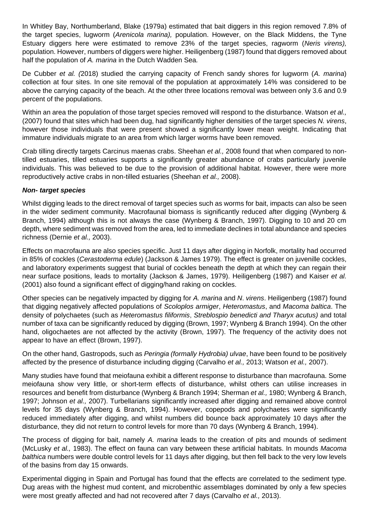In Whitley Bay, Northumberland, Blake (1979a) estimated that bait diggers in this region removed 7.8% of the target species, lugworm (*Arenicola marina),* population. However, on the Black Middens, the Tyne Estuary diggers here were estimated to remove 23% of the target species, ragworm (*Neris virens),* population. However, numbers of diggers were higher. Heiligenberg (1987) found that diggers removed about half the population of *A. marina* in the Dutch Wadden Sea*.*

De Cubber *et al. (*2018) studied the carrying capacity of French sandy shores for lugworm (*A. marina*) collection at four sites. In one site removal of the population at approximately 14% was considered to be above the carrying capacity of the beach. At the other three locations removal was between only 3.6 and 0.9 percent of the populations.

Within an area the population of those target species removed will respond to the disturbance. Watson *et al.,* (2007) found that sites which had been dug, had significantly higher densities of the target species *N. virens*, however those individuals that were present showed a significantly lower mean weight. Indicating that immature individuals migrate to an area from which larger worms have been removed.

Crab tilling directly targets Carcinus maenas crabs. Sheehan *et al.,* 2008 found that when compared to nontilled estuaries, tilled estuaries supports a significantly greater abundance of crabs particularly juvenile individuals. This was believed to be due to the provision of additional habitat. However, there were more reproductively active crabs in non-tilled estuaries (Sheehan *et al.,* 2008).

#### *Non- target species*

Whilst digging leads to the direct removal of target species such as worms for bait, impacts can also be seen in the wider sediment community. Macrofaunal biomass is significantly reduced after digging (Wynberg & Branch, 1994) although this is not always the case (Wynberg & Branch, 1997). Digging to 10 and 20 cm depth, where sediment was removed from the area, led to immediate declines in total abundance and species richness (Dernie *et al.,* 2003).

Effects on macrofauna are also species specific. Just 11 days after digging in Norfolk, mortality had occurred in 85% of cockles (*Cerastoderma edule*) (Jackson & James 1979). The effect is greater on juvenille cockles, and laboratory experiments suggest that burial of cockles beneath the depth at which they can regain their near surface positions, leads to mortality (Jackson & James, 1979). Heiligenberg (1987) and Kaiser *et al.* (2001) also found a significant effect of digging/hand raking on cockles.

Other species can be negatively impacted by digging for *A. marina* and *N*. *virens*. Heiligenberg (1987) found that digging negatively affected populations of *Scoloplos armiger*, *Heteromastus*, and *Macoma baltica*. The density of polychaetes (such as *Heteromastus filiformis*, *Streblospio benedicti and Tharyx acutus)* and total number of taxa can be significantly reduced by digging (Brown, 1997; Wynberg & Branch 1994). On the other hand, oligochaetes are not affected by the activity (Brown, 1997). The frequency of the activity does not appear to have an effect (Brown, 1997).

On the other hand, Gastropods, such as *Peringia (formally Hydrobia) ulvae*, have been found to be positively affected by the presence of disturbance including digging (Carvalho *et al.,* 2013; Watson *et al.,* 2007).

Many studies have found that meiofauna exhibit a different response to disturbance than macrofauna. Some meiofauna show very little, or short-term effects of disturbance, whilst others can utilise increases in resources and benefit from disturbance (Wynberg & Branch 1994; Sherman *et al.,* 1980; Wynberg & Branch, 1997; Johnson *et al.,* 2007). Turbellarians significantly increased after digging and remained above control levels for 35 days (Wynberg & Branch, 1994). However, copepods and polychaetes were significantly reduced immediately after digging, and whilst numbers did bounce back approximately 10 days after the disturbance, they did not return to control levels for more than 70 days (Wynberg & Branch, 1994).

The process of digging for bait, namely *A. marina* leads to the creation of pits and mounds of sediment (McLusky *et al.,* 1983). The effect on fauna can vary between these artificial habitats. In mounds *Macoma balthica* numbers were double control levels for 11 days after digging, but then fell back to the very low levels of the basins from day 15 onwards.

Experimental digging in Spain and Portugal has found that the effects are correlated to the sediment type. Dug areas with the highest mud content, and microbenthic assemblages dominated by only a few species were most greatly affected and had not recovered after 7 days (Carvalho *et al.,* 2013).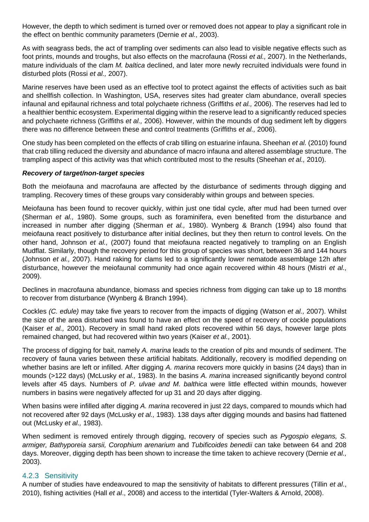However, the depth to which sediment is turned over or removed does not appear to play a significant role in the effect on benthic community parameters (Dernie *et al.,* 2003).

As with seagrass beds, the act of trampling over sediments can also lead to visible negative effects such as foot prints, mounds and troughs, but also effects on the macrofauna (Rossi *et al.,* 2007). In the Netherlands, mature individuals of the clam *M. baltica* declined, and later more newly recruited individuals were found in disturbed plots (Rossi *et al.,* 2007).

Marine reserves have been used as an effective tool to protect against the effects of activities such as bait and shellfish collection. In Washington, USA, reserves sites had greater clam abundance, overall species infaunal and epifaunal richness and total polychaete richness (Griffiths *et al.,* 2006). The reserves had led to a healthier benthic ecosystem. Experimental digging within the reserve lead to a significantly reduced species and polychaete richness (Griffiths *et al.,* 2006). However, within the mounds of dug sediment left by diggers there was no difference between these and control treatments (Griffiths *et al.,* 2006).

One study has been completed on the effects of crab tilling on estuarine infauna. Sheehan *et al.* (2010) found that crab tilling reduced the diversity and abundance of macro infauna and altered assemblage structure. The trampling aspect of this activity was that which contributed most to the results (Sheehan *et al.,* 2010).

#### *Recovery of target/non-target species*

Both the meiofauna and macrofauna are affected by the disturbance of sediments through digging and trampling. Recovery times of these groups vary considerably within groups and between species.

Meiofauna has been found to recover quickly, within just one tidal cycle, after mud had been turned over (Sherman *et al.,* 1980). Some groups, such as foraminifera, even benefited from the disturbance and increased in number after digging (Sherman *et al.,* 1980). Wynberg & Branch (1994) also found that meiofauna react positively to disturbance after initial declines, but they then return to control levels. On the other hand, Johnson *et al.,* (2007) found that meiofauna reacted negatively to trampling on an English Mudflat. Similarly, though the recovery period for this group of species was short, between 36 and 144 hours (Johnson *et al.,* 2007). Hand raking for clams led to a significantly lower nematode assemblage 12h after disturbance, however the meiofaunal community had once again recovered within 48 hours (Mistri *et al.,* 2009).

Declines in macrofauna abundance, biomass and species richness from digging can take up to 18 months to recover from disturbance (Wynberg & Branch 1994).

Cockles *(C. edule)* may take five years to recover from the impacts of digging (Watson *et al.,* 2007). Whilst the size of the area disturbed was found to have an effect on the speed of recovery of cockle populations (Kaiser *et al.,* 2001). Recovery in small hand raked plots recovered within 56 days, however large plots remained changed, but had recovered within two years (Kaiser *et al.,* 2001).

The process of digging for bait, namely *A. marina* leads to the creation of pits and mounds of sediment. The recovery of fauna varies between these artificial habitats. Additionally, recovery is modified depending on whether basins are left or infilled. After digging *A. marina* recovers more quickly in basins (24 days) than in mounds (>122 days) (McLusky *et al.,* 1983). In the basins *A. marina* increased significantly beyond control levels after 45 days. Numbers of *P. ulvae and M. balthica* were little effected within mounds, however numbers in basins were negatively affected for up 31 and 20 days after digging.

When basins were infilled after digging *A. marina* recovered in just 22 days, compared to mounds which had not recovered after 92 days (McLusky *et al.,* 1983). 138 days after digging mounds and basins had flattened out (McLusky *et al.,* 1983).

When sediment is removed entirely through digging, recovery of species such as *Pygospio elegans, S. armiger, Bathyporeia sarsii, Corophium arenarium* and *Tubificoides benedii* can take between 64 and 208 days. Moreover, digging depth has been shown to increase the time taken to achieve recovery (Dernie *et al.,* 2003).

#### <span id="page-14-0"></span>4.2.3 Sensitivity

A number of studies have endeavoured to map the sensitivity of habitats to different pressures (Tillin *et al*., 2010), fishing activities (Hall *et al*., 2008) and access to the intertidal (Tyler-Walters & Arnold, 2008).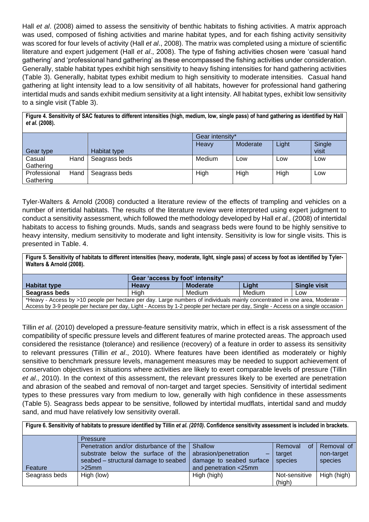Hall *et al*. (2008) aimed to assess the sensitivity of benthic habitats to fishing activities. A matrix approach was used, composed of fishing activities and marine habitat types, and for each fishing activity sensitivity was scored for four levels of activity (Hall *et al*., 2008). The matrix was completed using a mixture of scientific literature and expert judgement (Hall *et al*., 2008). The type of fishing activities chosen were 'casual hand gathering' and 'professional hand gathering' as these encompassed the fishing activities under consideration. Generally, stable habitat types exhibit high sensitivity to heavy fishing intensities for hand gathering activities (Table 3). Generally, habitat types exhibit medium to high sensitivity to moderate intensities. Casual hand gathering at light intensity lead to a low sensitivity of all habitats, however for professional hand gathering intertidal muds and sands exhibit medium sensitivity at a light intensity. All habitat types, exhibit low sensitivity to a single visit (Table 3).

**Figure 4. Sensitivity of SAC features to different intensities (high, medium, low, single pass) of hand gathering as identified by Hall**  *et al***. (2008).**

|              |      |               | Gear intensity* |          |       |        |
|--------------|------|---------------|-----------------|----------|-------|--------|
|              |      |               | Heavy           | Moderate | Light | Single |
| Gear type    |      | Habitat type  |                 |          |       | visit  |
| Casual       | Hand | Seagrass beds | Medium          | Low      | Low   | Low    |
| Gathering    |      |               |                 |          |       |        |
| Professional | Hand | Seagrass beds | High            | High     | High  | Low    |
| Gathering    |      |               |                 |          |       |        |

Tyler-Walters & Arnold (2008) conducted a literature review of the effects of trampling and vehicles on a number of intertidal habitats. The results of the literature review were interpreted using expert judgment to conduct a sensitivity assessment, which followed the methodology developed by Hall *et al.,* (2008) of intertidal habitats to access to fishing grounds. Muds, sands and seagrass beds were found to be highly sensitive to heavy intensity, medium sensitivity to moderate and light intensity. Sensitivity is low for single visits. This is presented in Table. 4.

**Figure 5. Sensitivity of habitats to different intensities (heavy, moderate, light, single pass) of access by foot as identified by Tyler-Walters & Arnold (2008).**

|                                                                                                                                  | Gear 'access by foot' intensity* |                 |        |                     |  |
|----------------------------------------------------------------------------------------------------------------------------------|----------------------------------|-----------------|--------|---------------------|--|
| <b>Habitat type</b>                                                                                                              | Heavv                            | <b>Moderate</b> | Light  | <b>Single visit</b> |  |
| Seagrass beds                                                                                                                    | Hiah                             | Medium          | Medium | Low                 |  |
| *Heavy - Access by >10 people per hectare per day. Large numbers of individuals mainly concentrated in one area, Moderate -      |                                  |                 |        |                     |  |
| Access by 3-9 people per hectare per day, Light - Access by 1-2 people per hectare per day, Single - Access on a single occasion |                                  |                 |        |                     |  |

Tillin *et al*. (2010) developed a pressure-feature sensitivity matrix, which in effect is a risk assessment of the compatibility of specific pressure levels and different features of marine protected areas. The approach used considered the resistance (tolerance) and resilience (recovery) of a feature in order to assess its sensitivity to relevant pressures (Tillin *et al*., 2010). Where features have been identified as moderately or highly sensitive to benchmark pressure levels, management measures may be needed to support achievement of conservation objectives in situations where activities are likely to exert comparable levels of pressure (Tillin *et al*., 2010). In the context of this assessment, the relevant pressures likely to be exerted are penetration and abrasion of the seabed and removal of non-target and target species. Sensitivity of intertidal sediment types to these pressures vary from medium to low, generally with high confidence in these assessments (Table 5). Seagrass beds appear to be sensitive, followed by intertidal mudflats, intertidal sand and muddy sand, and mud have relatively low sensitivity overall.

**Figure 6. Sensitivity of habitats to pressure identified by Tillin** *et al. (2010).* **Confidence sensitivity assessment is included in brackets.**

|               | <b>Pressure</b>                                         |                          |               |             |  |  |  |  |
|---------------|---------------------------------------------------------|--------------------------|---------------|-------------|--|--|--|--|
|               | Penetration and/or disturbance of the Shallow           | Removal<br>0f            | Removal of    |             |  |  |  |  |
|               | substrate below the surface of the abrasion/penetration |                          | target        | non-target  |  |  |  |  |
|               | seabed – structural damage to seabed                    | damage to seabed surface | species       | species     |  |  |  |  |
| Feature       | $>25$ mm                                                | and penetration <25mm    |               |             |  |  |  |  |
| Seagrass beds | High (low)                                              | High (high)              | Not-sensitive | High (high) |  |  |  |  |
|               |                                                         |                          | (high)        |             |  |  |  |  |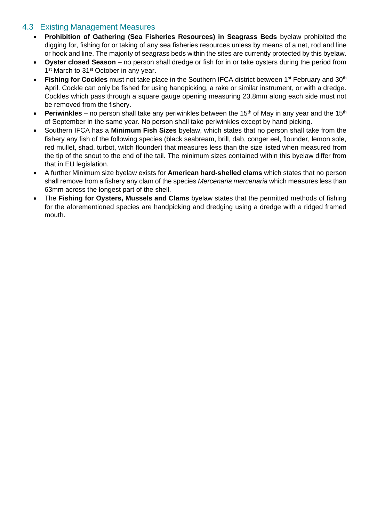#### <span id="page-16-0"></span>4.3 Existing Management Measures

- **Prohibition of Gathering (Sea Fisheries Resources) in Seagrass Beds** byelaw prohibited the digging for, fishing for or taking of any sea fisheries resources unless by means of a net, rod and line or hook and line. The majority of seagrass beds within the sites are currently protected by this byelaw.
- **Oyster closed Season** no person shall dredge or fish for in or take oysters during the period from 1<sup>st</sup> March to 31<sup>st</sup> October in any year.
- **Fishing for Cockles** must not take place in the Southern IFCA district between 1<sup>st</sup> February and 30<sup>th</sup> April. Cockle can only be fished for using handpicking, a rake or similar instrument, or with a dredge. Cockles which pass through a square gauge opening measuring 23.8mm along each side must not be removed from the fishery.
- **Periwinkles** no person shall take any periwinkles between the 15<sup>th</sup> of May in any year and the 15<sup>th</sup> of September in the same year. No person shall take periwinkles except by hand picking.
- Southern IFCA has a **Minimum Fish Sizes** byelaw, which states that no person shall take from the fishery any fish of the following species (black seabream, brill, dab, conger eel, flounder, lemon sole, red mullet, shad, turbot, witch flounder) that measures less than the size listed when measured from the tip of the snout to the end of the tail. The minimum sizes contained within this byelaw differ from that in EU legislation.
- A further Minimum size byelaw exists for **American hard-shelled clams** which states that no person shall remove from a fishery any clam of the species *Mercenaria mercenaria* which measures less than 63mm across the longest part of the shell.
- The **Fishing for Oysters, Mussels and Clams** byelaw states that the permitted methods of fishing for the aforementioned species are handpicking and dredging using a dredge with a ridged framed mouth.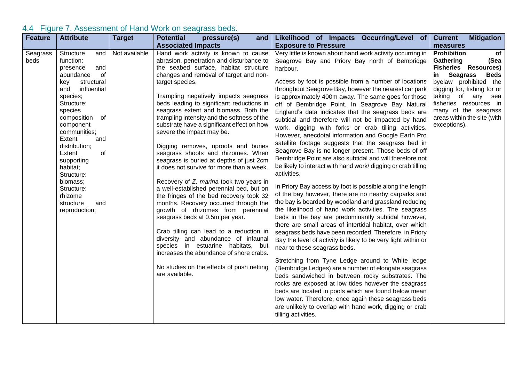<span id="page-17-0"></span>

| <b>Feature</b>   | <b>Attribute</b>                                                                                                                                                                                                                                                                                                                                                          | <b>Target</b> | <b>Potential</b><br>pressure(s)<br>and                                                                                                                                                                                                                                                                                                                                                                                                                                                                                                                                                                                                                                                                                                                                                                                                                                                                                                                                                                                                                                                                     | Likelihood of Impacts Occurring/Level of Current                                                                                                                                                                                                                                                                                                                                                                                                                                                                                                                                                                                                                                                                                                                                                                                                                                                                                                                                                                                                                                                                                                                                                                                                                                                                                                                                                                                                                                                                                                                                                                                                                                                                                                                                         | <b>Mitigation</b>                                                                                                                                                                                                                                                                             |
|------------------|---------------------------------------------------------------------------------------------------------------------------------------------------------------------------------------------------------------------------------------------------------------------------------------------------------------------------------------------------------------------------|---------------|------------------------------------------------------------------------------------------------------------------------------------------------------------------------------------------------------------------------------------------------------------------------------------------------------------------------------------------------------------------------------------------------------------------------------------------------------------------------------------------------------------------------------------------------------------------------------------------------------------------------------------------------------------------------------------------------------------------------------------------------------------------------------------------------------------------------------------------------------------------------------------------------------------------------------------------------------------------------------------------------------------------------------------------------------------------------------------------------------------|------------------------------------------------------------------------------------------------------------------------------------------------------------------------------------------------------------------------------------------------------------------------------------------------------------------------------------------------------------------------------------------------------------------------------------------------------------------------------------------------------------------------------------------------------------------------------------------------------------------------------------------------------------------------------------------------------------------------------------------------------------------------------------------------------------------------------------------------------------------------------------------------------------------------------------------------------------------------------------------------------------------------------------------------------------------------------------------------------------------------------------------------------------------------------------------------------------------------------------------------------------------------------------------------------------------------------------------------------------------------------------------------------------------------------------------------------------------------------------------------------------------------------------------------------------------------------------------------------------------------------------------------------------------------------------------------------------------------------------------------------------------------------------------|-----------------------------------------------------------------------------------------------------------------------------------------------------------------------------------------------------------------------------------------------------------------------------------------------|
|                  |                                                                                                                                                                                                                                                                                                                                                                           |               | <b>Associated Impacts</b>                                                                                                                                                                                                                                                                                                                                                                                                                                                                                                                                                                                                                                                                                                                                                                                                                                                                                                                                                                                                                                                                                  | <b>Exposure to Pressure</b>                                                                                                                                                                                                                                                                                                                                                                                                                                                                                                                                                                                                                                                                                                                                                                                                                                                                                                                                                                                                                                                                                                                                                                                                                                                                                                                                                                                                                                                                                                                                                                                                                                                                                                                                                              | measures                                                                                                                                                                                                                                                                                      |
| Seagrass<br>beds | Structure<br>and<br>function:<br>presence<br>and<br>abundance<br>0f<br>structural<br>key<br>influential<br>and<br>species;<br>Structure:<br>species<br>composition<br>of<br>component<br>communities;<br>Extent<br>and<br>distribution;<br>Extent<br>οf<br>supporting<br>habitat;<br>Structure:<br>biomass;<br>Structure:<br>rhizome<br>structure<br>and<br>reproduction; | Not available | Hand work activity is known to cause<br>abrasion, penetration and disturbance to<br>the seabed surface, habitat structure<br>changes and removal of target and non-<br>target species.<br>Trampling negatively impacts seagrass<br>beds leading to significant reductions in<br>seagrass extent and biomass. Both the<br>trampling intensity and the softness of the<br>substrate have a significant effect on how<br>severe the impact may be.<br>Digging removes, uproots and buries<br>seagrass shoots and rhizomes. When<br>seagrass is buried at depths of just 2cm<br>it does not survive for more than a week.<br>Recovery of Z. marina took two years in<br>a well-established perennial bed, but on<br>the fringes of the bed recovery took 32<br>months. Recovery occurred through the<br>growth of rhizomes from perennial<br>seagrass beds at 0.5m per year.<br>Crab tilling can lead to a reduction in<br>diversity and abundance of infaunal<br>species in estuarine habitats, but<br>increases the abundance of shore crabs.<br>No studies on the effects of push netting<br>are available. | Very little is known about hand work activity occurring in<br>Seagrove Bay and Priory Bay north of Bembridge<br>harbour.<br>Access by foot is possible from a number of locations<br>throughout Seagrove Bay, however the nearest car park<br>is approximately 400m away. The same goes for those<br>off of Bembridge Point. In Seagrove Bay Natural<br>England's data indicates that the seagrass beds are<br>subtidal and therefore will not be impacted by hand<br>work, digging with forks or crab tilling activities.<br>However, anecdotal information and Google Earth Pro<br>satellite footage suggests that the seagrass bed in<br>Seagrove Bay is no longer present. Those beds of off<br>Bembridge Point are also subtidal and will therefore not<br>be likely to interact with hand work/digging or crab tilling<br>activities.<br>In Priory Bay access by foot is possible along the length<br>of the bay however, there are no nearby carparks and<br>the bay is boarded by woodland and grassland reducing<br>the likelihood of hand work activities. The seagrass<br>beds in the bay are predominantly subtidal however,<br>there are small areas of intertidal habitat, over which<br>seagrass beds have been recorded. Therefore, in Priory<br>Bay the level of activity is likely to be very light within or<br>near to these seagrass beds.<br>Stretching from Tyne Ledge around to White ledge<br>(Bembridge Ledges) are a number of elongate seagrass<br>beds sandwiched in between rocky substrates. The<br>rocks are exposed at low tides however the seagrass<br>beds are located in pools which are found below mean<br>low water. Therefore, once again these seagrass beds<br>are unlikely to overlap with hand work, digging or crab<br>tilling activities. | <b>Prohibition</b><br>of<br>Gathering<br>(Sea<br><b>Fisheries Resources)</b><br>Seagrass<br><b>Beds</b><br>in I<br>byelaw prohibited the<br>digging for, fishing for or<br>taking of any sea<br>fisheries resources in<br>many of the seagrass<br>areas within the site (with<br>exceptions). |

## 4.4 Figure 7. Assessment of Hand Work on seagrass beds.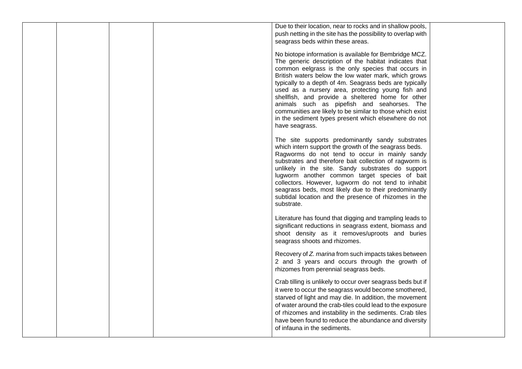|  |  | Due to their location, near to rocks and in shallow pools,<br>push netting in the site has the possibility to overlap with<br>seagrass beds within these areas.<br>No biotope information is available for Bembridge MCZ.<br>The generic description of the habitat indicates that<br>common eelgrass is the only species that occurs in<br>British waters below the low water mark, which grows<br>typically to a depth of 4m. Seagrass beds are typically<br>used as a nursery area, protecting young fish and<br>shellfish, and provide a sheltered home for other<br>animals such as pipefish and seahorses. The<br>communities are likely to be similar to those which exist<br>in the sediment types present which elsewhere do not<br>have seagrass. |
|--|--|-------------------------------------------------------------------------------------------------------------------------------------------------------------------------------------------------------------------------------------------------------------------------------------------------------------------------------------------------------------------------------------------------------------------------------------------------------------------------------------------------------------------------------------------------------------------------------------------------------------------------------------------------------------------------------------------------------------------------------------------------------------|
|  |  | The site supports predominantly sandy substrates<br>which intern support the growth of the seagrass beds.<br>Ragworms do not tend to occur in mainly sandy<br>substrates and therefore bait collection of ragworm is<br>unlikely in the site. Sandy substrates do support<br>lugworm another common target species of bait<br>collectors. However, lugworm do not tend to inhabit<br>seagrass beds, most likely due to their predominantly<br>subtidal location and the presence of rhizomes in the<br>substrate.                                                                                                                                                                                                                                           |
|  |  | Literature has found that digging and trampling leads to<br>significant reductions in seagrass extent, biomass and<br>shoot density as it removes/uproots and buries<br>seagrass shoots and rhizomes.                                                                                                                                                                                                                                                                                                                                                                                                                                                                                                                                                       |
|  |  | Recovery of Z. marina from such impacts takes between<br>2 and 3 years and occurs through the growth of<br>rhizomes from perennial seagrass beds.                                                                                                                                                                                                                                                                                                                                                                                                                                                                                                                                                                                                           |
|  |  | Crab tilling is unlikely to occur over seagrass beds but if<br>it were to occur the seagrass would become smothered,<br>starved of light and may die. In addition, the movement<br>of water around the crab-tiles could lead to the exposure<br>of rhizomes and instability in the sediments. Crab tiles<br>have been found to reduce the abundance and diversity<br>of infauna in the sediments.                                                                                                                                                                                                                                                                                                                                                           |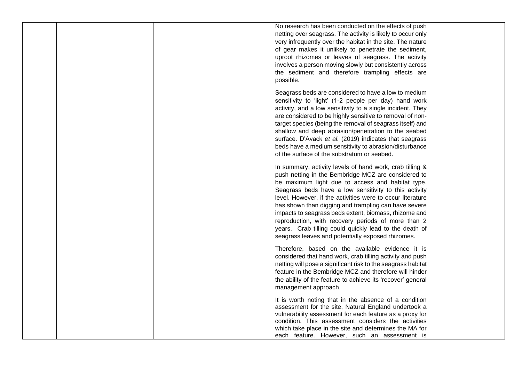|  |  | No research has been conducted on the effects of push<br>netting over seagrass. The activity is likely to occur only<br>very infrequently over the habitat in the site. The nature<br>of gear makes it unlikely to penetrate the sediment,<br>uproot rhizomes or leaves of seagrass. The activity<br>involves a person moving slowly but consistently across<br>the sediment and therefore trampling effects are<br>possible.                                                                                                                                                    |  |
|--|--|----------------------------------------------------------------------------------------------------------------------------------------------------------------------------------------------------------------------------------------------------------------------------------------------------------------------------------------------------------------------------------------------------------------------------------------------------------------------------------------------------------------------------------------------------------------------------------|--|
|  |  | Seagrass beds are considered to have a low to medium<br>sensitivity to 'light' (1-2 people per day) hand work<br>activity, and a low sensitivity to a single incident. They<br>are considered to be highly sensitive to removal of non-<br>target species (being the removal of seagrass itself) and<br>shallow and deep abrasion/penetration to the seabed<br>surface. D'Avack et al. (2019) indicates that seagrass<br>beds have a medium sensitivity to abrasion/disturbance<br>of the surface of the substratum or seabed.                                                   |  |
|  |  | In summary, activity levels of hand work, crab tilling &<br>push netting in the Bembridge MCZ are considered to<br>be maximum light due to access and habitat type.<br>Seagrass beds have a low sensitivity to this activity<br>level. However, if the activities were to occur literature<br>has shown than digging and trampling can have severe<br>impacts to seagrass beds extent, biomass, rhizome and<br>reproduction, with recovery periods of more than 2<br>years. Crab tilling could quickly lead to the death of<br>seagrass leaves and potentially exposed rhizomes. |  |
|  |  | Therefore, based on the available evidence it is<br>considered that hand work, crab tilling activity and push<br>netting will pose a significant risk to the seagrass habitat<br>feature in the Bembridge MCZ and therefore will hinder<br>the ability of the feature to achieve its 'recover' general<br>management approach.                                                                                                                                                                                                                                                   |  |
|  |  | It is worth noting that in the absence of a condition<br>assessment for the site, Natural England undertook a<br>vulnerability assessment for each feature as a proxy for<br>condition. This assessment considers the activities<br>which take place in the site and determines the MA for<br>each feature. However, such an assessment is                                                                                                                                                                                                                                       |  |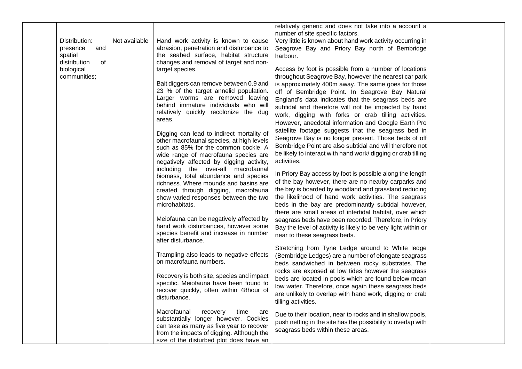|                                                                                                 |               |                                                                                                                                                                                                                                                                                                                                                                                                                                                                                                      | relatively generic and does not take into a account a                                                                                                                                                                                                                                                                                                                                                                                                                                                                                                                                                                                                                                                                                                                                            |  |
|-------------------------------------------------------------------------------------------------|---------------|------------------------------------------------------------------------------------------------------------------------------------------------------------------------------------------------------------------------------------------------------------------------------------------------------------------------------------------------------------------------------------------------------------------------------------------------------------------------------------------------------|--------------------------------------------------------------------------------------------------------------------------------------------------------------------------------------------------------------------------------------------------------------------------------------------------------------------------------------------------------------------------------------------------------------------------------------------------------------------------------------------------------------------------------------------------------------------------------------------------------------------------------------------------------------------------------------------------------------------------------------------------------------------------------------------------|--|
|                                                                                                 |               |                                                                                                                                                                                                                                                                                                                                                                                                                                                                                                      |                                                                                                                                                                                                                                                                                                                                                                                                                                                                                                                                                                                                                                                                                                                                                                                                  |  |
| Distribution:<br>presence<br>and<br>spatial<br>distribution<br>οf<br>biological<br>communities; | Not available | Hand work activity is known to cause<br>abrasion, penetration and disturbance to<br>the seabed surface, habitat structure<br>changes and removal of target and non-<br>target species.<br>Bait diggers can remove between 0.9 and<br>23 % of the target annelid population.<br>Larger worms are removed leaving<br>behind immature individuals who will<br>relatively quickly recolonize the dug<br>areas.<br>Digging can lead to indirect mortality of<br>other macrofaunal species, at high levels | number of site specific factors.<br>Very little is known about hand work activity occurring in<br>Seagrove Bay and Priory Bay north of Bembridge<br>harbour.<br>Access by foot is possible from a number of locations<br>throughout Seagrove Bay, however the nearest car park<br>is approximately 400m away. The same goes for those<br>off of Bembridge Point. In Seagrove Bay Natural<br>England's data indicates that the seagrass beds are<br>subtidal and therefore will not be impacted by hand<br>work, digging with forks or crab tilling activities.<br>However, anecdotal information and Google Earth Pro<br>satellite footage suggests that the seagrass bed in<br>Seagrove Bay is no longer present. Those beds of off<br>Bembridge Point are also subtidal and will therefore not |  |
|                                                                                                 |               | such as 85% for the common cockle. A<br>wide range of macrofauna species are<br>negatively affected by digging activity,<br>including the over-all macrofaunal<br>biomass, total abundance and species<br>richness. Where mounds and basins are<br>created through digging, macrofauna<br>show varied responses between the two<br>microhabitats.<br>Meiofauna can be negatively affected by<br>hand work disturbances, however some<br>species benefit and increase in number                       | be likely to interact with hand work/ digging or crab tilling<br>activities.<br>In Priory Bay access by foot is possible along the length<br>of the bay however, there are no nearby carparks and<br>the bay is boarded by woodland and grassland reducing<br>the likelihood of hand work activities. The seagrass<br>beds in the bay are predominantly subtidal however,<br>there are small areas of intertidal habitat, over which<br>seagrass beds have been recorded. Therefore, in Priory<br>Bay the level of activity is likely to be very light within or                                                                                                                                                                                                                                 |  |
|                                                                                                 |               | after disturbance.<br>Trampling also leads to negative effects<br>on macrofauna numbers.<br>Recovery is both site, species and impact<br>specific. Meiofauna have been found to<br>recover quickly, often within 48hour of<br>disturbance.                                                                                                                                                                                                                                                           | near to these seagrass beds.<br>Stretching from Tyne Ledge around to White ledge<br>(Bembridge Ledges) are a number of elongate seagrass<br>beds sandwiched in between rocky substrates. The<br>rocks are exposed at low tides however the seagrass<br>beds are located in pools which are found below mean<br>low water. Therefore, once again these seagrass beds<br>are unlikely to overlap with hand work, digging or crab<br>tilling activities.                                                                                                                                                                                                                                                                                                                                            |  |
|                                                                                                 |               | Macrofaunal<br>time<br>recovery<br>are<br>substantially longer however. Cockles<br>can take as many as five year to recover<br>from the impacts of digging. Although the<br>size of the disturbed plot does have an                                                                                                                                                                                                                                                                                  | Due to their location, near to rocks and in shallow pools,<br>push netting in the site has the possibility to overlap with<br>seagrass beds within these areas.                                                                                                                                                                                                                                                                                                                                                                                                                                                                                                                                                                                                                                  |  |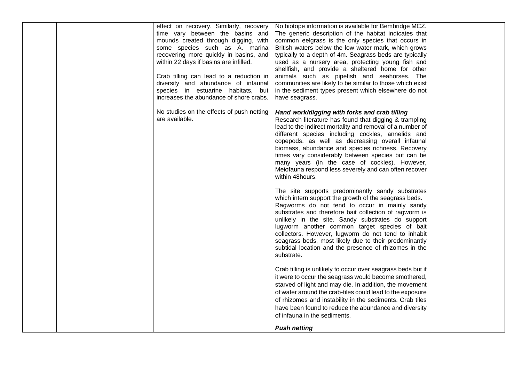| effect on recovery. Similarly, recovery<br>No biotope information is available for Bembridge MCZ.<br>The generic description of the habitat indicates that<br>time vary between the basins and<br>common eelgrass is the only species that occurs in<br>mounds created through digging, with<br>some species such as A. marina<br>British waters below the low water mark, which grows<br>recovering more quickly in basins, and<br>typically to a depth of 4m. Seagrass beds are typically<br>within 22 days if basins are infilled.<br>used as a nursery area, protecting young fish and<br>shellfish, and provide a sheltered home for other |  |
|-------------------------------------------------------------------------------------------------------------------------------------------------------------------------------------------------------------------------------------------------------------------------------------------------------------------------------------------------------------------------------------------------------------------------------------------------------------------------------------------------------------------------------------------------------------------------------------------------------------------------------------------------|--|
| Crab tilling can lead to a reduction in<br>animals such as pipefish and seahorses. The<br>diversity and abundance of infaunal<br>communities are likely to be similar to those which exist<br>species in estuarine habitats, but<br>in the sediment types present which elsewhere do not<br>increases the abundance of shore crabs.<br>have seagrass.                                                                                                                                                                                                                                                                                           |  |
| No studies on the effects of push netting<br>Hand work/digging with forks and crab tilling<br>are available.<br>Research literature has found that digging & trampling<br>lead to the indirect mortality and removal of a number of<br>different species including cockles, annelids and<br>copepods, as well as decreasing overall infaunal<br>biomass, abundance and species richness. Recovery<br>times vary considerably between species but can be<br>many years (in the case of cockles). However,<br>Meiofauna respond less severely and can often recover<br>within 48hours.                                                            |  |
| The site supports predominantly sandy substrates<br>which intern support the growth of the seagrass beds.<br>Ragworms do not tend to occur in mainly sandy<br>substrates and therefore bait collection of ragworm is<br>unlikely in the site. Sandy substrates do support<br>lugworm another common target species of bait<br>collectors. However, lugworm do not tend to inhabit<br>seagrass beds, most likely due to their predominantly<br>subtidal location and the presence of rhizomes in the<br>substrate.                                                                                                                               |  |
| Crab tilling is unlikely to occur over seagrass beds but if<br>it were to occur the seagrass would become smothered,<br>starved of light and may die. In addition, the movement<br>of water around the crab-tiles could lead to the exposure<br>of rhizomes and instability in the sediments. Crab tiles<br>have been found to reduce the abundance and diversity<br>of infauna in the sediments.<br><b>Push netting</b>                                                                                                                                                                                                                        |  |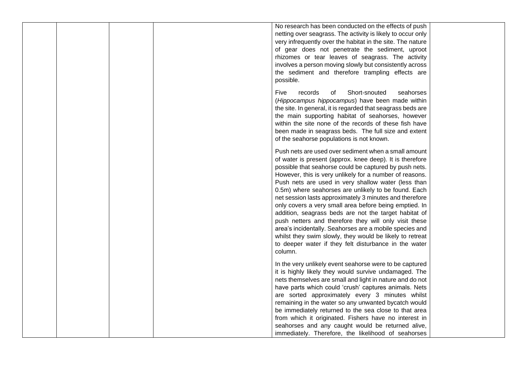|  | No research has been conducted on the effects of push<br>netting over seagrass. The activity is likely to occur only<br>very infrequently over the habitat in the site. The nature<br>of gear does not penetrate the sediment, uproot<br>rhizomes or tear leaves of seagrass. The activity<br>involves a person moving slowly but consistently across<br>the sediment and therefore trampling effects are<br>possible.                                                                                                                                                                                                                                                                                                                                                                 |
|--|----------------------------------------------------------------------------------------------------------------------------------------------------------------------------------------------------------------------------------------------------------------------------------------------------------------------------------------------------------------------------------------------------------------------------------------------------------------------------------------------------------------------------------------------------------------------------------------------------------------------------------------------------------------------------------------------------------------------------------------------------------------------------------------|
|  | Short-snouted<br>Five<br>records<br>of<br>seahorses<br>(Hippocampus hippocampus) have been made within<br>the site. In general, it is regarded that seagrass beds are<br>the main supporting habitat of seahorses, however<br>within the site none of the records of these fish have<br>been made in seagrass beds. The full size and extent<br>of the seahorse populations is not known.                                                                                                                                                                                                                                                                                                                                                                                              |
|  | Push nets are used over sediment when a small amount<br>of water is present (approx. knee deep). It is therefore<br>possible that seahorse could be captured by push nets.<br>However, this is very unlikely for a number of reasons.<br>Push nets are used in very shallow water (less than<br>0.5m) where seahorses are unlikely to be found. Each<br>net session lasts approximately 3 minutes and therefore<br>only covers a very small area before being emptied. In<br>addition, seagrass beds are not the target habitat of<br>push netters and therefore they will only visit these<br>area's incidentally. Seahorses are a mobile species and<br>whilst they swim slowly, they would be likely to retreat<br>to deeper water if they felt disturbance in the water<br>column. |
|  | In the very unlikely event seahorse were to be captured<br>it is highly likely they would survive undamaged. The<br>nets themselves are small and light in nature and do not<br>have parts which could 'crush' captures animals. Nets<br>are sorted approximately every 3 minutes whilst<br>remaining in the water so any unwanted bycatch would<br>be immediately returned to the sea close to that area<br>from which it originated. Fishers have no interest in<br>seahorses and any caught would be returned alive,<br>immediately. Therefore, the likelihood of seahorses                                                                                                                                                                                                         |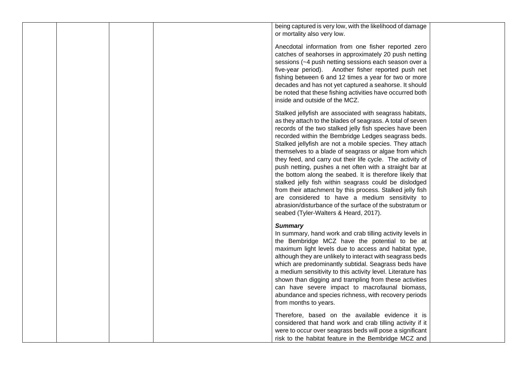being captured is very low, with the likelihood of damage or mortality also very low.

Anecdotal information from one fisher reported zero catches of seahorses in approximately 20 push netting sessions (~4 push netting sessions each season over a five-year period). Another fisher reported push net fishing between 6 and 12 times a year for two or more decades and has not yet captured a seahorse. It should be noted that these fishing activities have occurred both inside and outside of the MCZ.

Stalked jellyfish are associated with seagrass habitats, as they attach to the blades of seagrass. A total of seven records of the two stalked jelly fish species have been recorded within the Bembridge Ledges seagrass beds. Stalked jellyfish are not a mobile species. They attach themselves to a blade of seagrass or algae from which they feed, and carry out their life cycle. The activity of push netting, pushes a net often with a straight bar at the bottom along the seabed. It is therefore likely that stalked jelly fish within seagrass could be dislodged from their attachment by this process. Stalked jelly fish are considered to have a medium sensitivity to abrasion/disturbance of the surface of the substratum or seabed (Tyler-Walters & Heard, 2017).

#### *Summary*

In summary, hand work and crab tilling activity levels in the Bembridge MCZ have the potential to be at maximum light levels due to access and habitat type, although they are unlikely to interact with seagrass beds which are predominantly subtidal. Seagrass beds have a medium sensitivity to this activity level. Literature has shown than digging and trampling from these activities can have severe impact to macrofaunal biomass, abundance and species richness, with recovery periods from months to years.

Therefore, based on the available evidence it is considered that hand work and crab tilling activity if it were to occur over seagrass beds will pose a significant risk to the habitat feature in the Bembridge MCZ and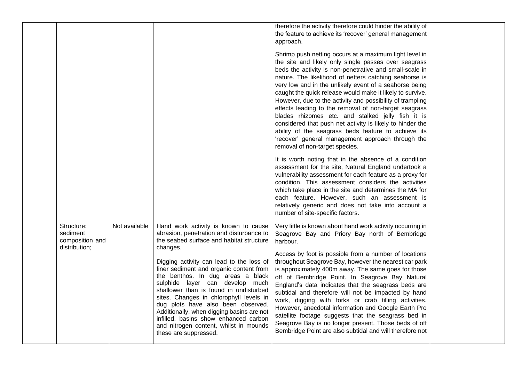|                                                            |               |                                                                                                                                                                                                                                                                                                                                                                                                                                                                                                                                                                                             | therefore the activity therefore could hinder the ability of<br>the feature to achieve its 'recover' general management<br>approach.<br>Shrimp push netting occurs at a maximum light level in<br>the site and likely only single passes over seagrass<br>beds the activity is non-penetrative and small-scale in<br>nature. The likelihood of netters catching seahorse is<br>very low and in the unlikely event of a seahorse being<br>caught the quick release would make it likely to survive.<br>However, due to the activity and possibility of trampling<br>effects leading to the removal of non-target seagrass<br>blades rhizomes etc. and stalked jelly fish it is<br>considered that push net activity is likely to hinder the<br>ability of the seagrass beds feature to achieve its<br>'recover' general management approach through the<br>removal of non-target species.<br>It is worth noting that in the absence of a condition<br>assessment for the site, Natural England undertook a<br>vulnerability assessment for each feature as a proxy for<br>condition. This assessment considers the activities |  |
|------------------------------------------------------------|---------------|---------------------------------------------------------------------------------------------------------------------------------------------------------------------------------------------------------------------------------------------------------------------------------------------------------------------------------------------------------------------------------------------------------------------------------------------------------------------------------------------------------------------------------------------------------------------------------------------|------------------------------------------------------------------------------------------------------------------------------------------------------------------------------------------------------------------------------------------------------------------------------------------------------------------------------------------------------------------------------------------------------------------------------------------------------------------------------------------------------------------------------------------------------------------------------------------------------------------------------------------------------------------------------------------------------------------------------------------------------------------------------------------------------------------------------------------------------------------------------------------------------------------------------------------------------------------------------------------------------------------------------------------------------------------------------------------------------------------------------|--|
|                                                            |               |                                                                                                                                                                                                                                                                                                                                                                                                                                                                                                                                                                                             | which take place in the site and determines the MA for<br>each feature. However, such an assessment is<br>relatively generic and does not take into account a<br>number of site-specific factors.                                                                                                                                                                                                                                                                                                                                                                                                                                                                                                                                                                                                                                                                                                                                                                                                                                                                                                                            |  |
| Structure:<br>sediment<br>composition and<br>distribution; | Not available | Hand work activity is known to cause<br>abrasion, penetration and disturbance to<br>the seabed surface and habitat structure<br>changes.<br>Digging activity can lead to the loss of<br>finer sediment and organic content from<br>the benthos. In dug areas a black<br>sulphide layer can develop much<br>shallower than is found in undisturbed<br>sites. Changes in chlorophyll levels in<br>dug plots have also been observed.<br>Additionally, when digging basins are not<br>infilled, basins show enhanced carbon<br>and nitrogen content, whilst in mounds<br>these are suppressed. | Very little is known about hand work activity occurring in<br>Seagrove Bay and Priory Bay north of Bembridge<br>harbour.<br>Access by foot is possible from a number of locations<br>throughout Seagrove Bay, however the nearest car park<br>is approximately 400m away. The same goes for those<br>off of Bembridge Point. In Seagrove Bay Natural<br>England's data indicates that the seagrass beds are<br>subtidal and therefore will not be impacted by hand<br>work, digging with forks or crab tilling activities.<br>However, anecdotal information and Google Earth Pro<br>satellite footage suggests that the seagrass bed in<br>Seagrove Bay is no longer present. Those beds of off<br>Bembridge Point are also subtidal and will therefore not                                                                                                                                                                                                                                                                                                                                                                 |  |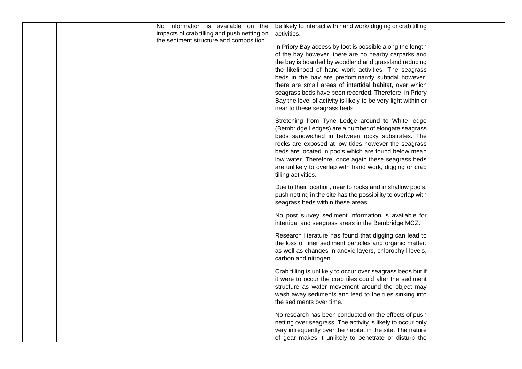| activities.<br>the sediment structure and composition.<br>In Priory Bay access by foot is possible along the length<br>of the bay however, there are no nearby carparks and<br>the bay is boarded by woodland and grassland reducing<br>the likelihood of hand work activities. The seagrass<br>beds in the bay are predominantly subtidal however,<br>there are small areas of intertidal habitat, over which<br>seagrass beds have been recorded. Therefore, in Priory<br>Bay the level of activity is likely to be very light within or<br>near to these seagrass beds.<br>Stretching from Tyne Ledge around to White ledge<br>(Bembridge Ledges) are a number of elongate seagrass<br>beds sandwiched in between rocky substrates. The<br>rocks are exposed at low tides however the seagrass<br>beds are located in pools which are found below mean<br>low water. Therefore, once again these seagrass beds<br>are unlikely to overlap with hand work, digging or crab<br>tilling activities.<br>Due to their location, near to rocks and in shallow pools,<br>push netting in the site has the possibility to overlap with<br>seagrass beds within these areas.<br>No post survey sediment information is available for<br>intertidal and seagrass areas in the Bembridge MCZ.<br>Research literature has found that digging can lead to<br>the loss of finer sediment particles and organic matter,<br>as well as changes in anoxic layers, chlorophyll levels,<br>carbon and nitrogen.<br>Crab tilling is unlikely to occur over seagrass beds but if<br>it were to occur the crab tiles could alter the sediment<br>structure as water movement around the object may<br>wash away sediments and lead to the tiles sinking into<br>the sediments over time.<br>No research has been conducted on the effects of push<br>netting over seagrass. The activity is likely to occur only<br>very infrequently over the habitat in the site. The nature | No information is available on the          | be likely to interact with hand work/ digging or crab tilling |  |
|-------------------------------------------------------------------------------------------------------------------------------------------------------------------------------------------------------------------------------------------------------------------------------------------------------------------------------------------------------------------------------------------------------------------------------------------------------------------------------------------------------------------------------------------------------------------------------------------------------------------------------------------------------------------------------------------------------------------------------------------------------------------------------------------------------------------------------------------------------------------------------------------------------------------------------------------------------------------------------------------------------------------------------------------------------------------------------------------------------------------------------------------------------------------------------------------------------------------------------------------------------------------------------------------------------------------------------------------------------------------------------------------------------------------------------------------------------------------------------------------------------------------------------------------------------------------------------------------------------------------------------------------------------------------------------------------------------------------------------------------------------------------------------------------------------------------------------------------------------------------------------------------------------------------------------------------------------------|---------------------------------------------|---------------------------------------------------------------|--|
|                                                                                                                                                                                                                                                                                                                                                                                                                                                                                                                                                                                                                                                                                                                                                                                                                                                                                                                                                                                                                                                                                                                                                                                                                                                                                                                                                                                                                                                                                                                                                                                                                                                                                                                                                                                                                                                                                                                                                             | impacts of crab tilling and push netting on |                                                               |  |
|                                                                                                                                                                                                                                                                                                                                                                                                                                                                                                                                                                                                                                                                                                                                                                                                                                                                                                                                                                                                                                                                                                                                                                                                                                                                                                                                                                                                                                                                                                                                                                                                                                                                                                                                                                                                                                                                                                                                                             |                                             |                                                               |  |
|                                                                                                                                                                                                                                                                                                                                                                                                                                                                                                                                                                                                                                                                                                                                                                                                                                                                                                                                                                                                                                                                                                                                                                                                                                                                                                                                                                                                                                                                                                                                                                                                                                                                                                                                                                                                                                                                                                                                                             |                                             |                                                               |  |
|                                                                                                                                                                                                                                                                                                                                                                                                                                                                                                                                                                                                                                                                                                                                                                                                                                                                                                                                                                                                                                                                                                                                                                                                                                                                                                                                                                                                                                                                                                                                                                                                                                                                                                                                                                                                                                                                                                                                                             |                                             |                                                               |  |
|                                                                                                                                                                                                                                                                                                                                                                                                                                                                                                                                                                                                                                                                                                                                                                                                                                                                                                                                                                                                                                                                                                                                                                                                                                                                                                                                                                                                                                                                                                                                                                                                                                                                                                                                                                                                                                                                                                                                                             |                                             |                                                               |  |
|                                                                                                                                                                                                                                                                                                                                                                                                                                                                                                                                                                                                                                                                                                                                                                                                                                                                                                                                                                                                                                                                                                                                                                                                                                                                                                                                                                                                                                                                                                                                                                                                                                                                                                                                                                                                                                                                                                                                                             |                                             |                                                               |  |
|                                                                                                                                                                                                                                                                                                                                                                                                                                                                                                                                                                                                                                                                                                                                                                                                                                                                                                                                                                                                                                                                                                                                                                                                                                                                                                                                                                                                                                                                                                                                                                                                                                                                                                                                                                                                                                                                                                                                                             |                                             |                                                               |  |
|                                                                                                                                                                                                                                                                                                                                                                                                                                                                                                                                                                                                                                                                                                                                                                                                                                                                                                                                                                                                                                                                                                                                                                                                                                                                                                                                                                                                                                                                                                                                                                                                                                                                                                                                                                                                                                                                                                                                                             |                                             |                                                               |  |
|                                                                                                                                                                                                                                                                                                                                                                                                                                                                                                                                                                                                                                                                                                                                                                                                                                                                                                                                                                                                                                                                                                                                                                                                                                                                                                                                                                                                                                                                                                                                                                                                                                                                                                                                                                                                                                                                                                                                                             |                                             |                                                               |  |
|                                                                                                                                                                                                                                                                                                                                                                                                                                                                                                                                                                                                                                                                                                                                                                                                                                                                                                                                                                                                                                                                                                                                                                                                                                                                                                                                                                                                                                                                                                                                                                                                                                                                                                                                                                                                                                                                                                                                                             |                                             |                                                               |  |
|                                                                                                                                                                                                                                                                                                                                                                                                                                                                                                                                                                                                                                                                                                                                                                                                                                                                                                                                                                                                                                                                                                                                                                                                                                                                                                                                                                                                                                                                                                                                                                                                                                                                                                                                                                                                                                                                                                                                                             |                                             |                                                               |  |
|                                                                                                                                                                                                                                                                                                                                                                                                                                                                                                                                                                                                                                                                                                                                                                                                                                                                                                                                                                                                                                                                                                                                                                                                                                                                                                                                                                                                                                                                                                                                                                                                                                                                                                                                                                                                                                                                                                                                                             |                                             |                                                               |  |
|                                                                                                                                                                                                                                                                                                                                                                                                                                                                                                                                                                                                                                                                                                                                                                                                                                                                                                                                                                                                                                                                                                                                                                                                                                                                                                                                                                                                                                                                                                                                                                                                                                                                                                                                                                                                                                                                                                                                                             |                                             |                                                               |  |
|                                                                                                                                                                                                                                                                                                                                                                                                                                                                                                                                                                                                                                                                                                                                                                                                                                                                                                                                                                                                                                                                                                                                                                                                                                                                                                                                                                                                                                                                                                                                                                                                                                                                                                                                                                                                                                                                                                                                                             |                                             |                                                               |  |
|                                                                                                                                                                                                                                                                                                                                                                                                                                                                                                                                                                                                                                                                                                                                                                                                                                                                                                                                                                                                                                                                                                                                                                                                                                                                                                                                                                                                                                                                                                                                                                                                                                                                                                                                                                                                                                                                                                                                                             |                                             |                                                               |  |
|                                                                                                                                                                                                                                                                                                                                                                                                                                                                                                                                                                                                                                                                                                                                                                                                                                                                                                                                                                                                                                                                                                                                                                                                                                                                                                                                                                                                                                                                                                                                                                                                                                                                                                                                                                                                                                                                                                                                                             |                                             |                                                               |  |
|                                                                                                                                                                                                                                                                                                                                                                                                                                                                                                                                                                                                                                                                                                                                                                                                                                                                                                                                                                                                                                                                                                                                                                                                                                                                                                                                                                                                                                                                                                                                                                                                                                                                                                                                                                                                                                                                                                                                                             |                                             |                                                               |  |
|                                                                                                                                                                                                                                                                                                                                                                                                                                                                                                                                                                                                                                                                                                                                                                                                                                                                                                                                                                                                                                                                                                                                                                                                                                                                                                                                                                                                                                                                                                                                                                                                                                                                                                                                                                                                                                                                                                                                                             |                                             |                                                               |  |
|                                                                                                                                                                                                                                                                                                                                                                                                                                                                                                                                                                                                                                                                                                                                                                                                                                                                                                                                                                                                                                                                                                                                                                                                                                                                                                                                                                                                                                                                                                                                                                                                                                                                                                                                                                                                                                                                                                                                                             |                                             |                                                               |  |
|                                                                                                                                                                                                                                                                                                                                                                                                                                                                                                                                                                                                                                                                                                                                                                                                                                                                                                                                                                                                                                                                                                                                                                                                                                                                                                                                                                                                                                                                                                                                                                                                                                                                                                                                                                                                                                                                                                                                                             |                                             |                                                               |  |
|                                                                                                                                                                                                                                                                                                                                                                                                                                                                                                                                                                                                                                                                                                                                                                                                                                                                                                                                                                                                                                                                                                                                                                                                                                                                                                                                                                                                                                                                                                                                                                                                                                                                                                                                                                                                                                                                                                                                                             |                                             |                                                               |  |
|                                                                                                                                                                                                                                                                                                                                                                                                                                                                                                                                                                                                                                                                                                                                                                                                                                                                                                                                                                                                                                                                                                                                                                                                                                                                                                                                                                                                                                                                                                                                                                                                                                                                                                                                                                                                                                                                                                                                                             |                                             |                                                               |  |
|                                                                                                                                                                                                                                                                                                                                                                                                                                                                                                                                                                                                                                                                                                                                                                                                                                                                                                                                                                                                                                                                                                                                                                                                                                                                                                                                                                                                                                                                                                                                                                                                                                                                                                                                                                                                                                                                                                                                                             |                                             |                                                               |  |
|                                                                                                                                                                                                                                                                                                                                                                                                                                                                                                                                                                                                                                                                                                                                                                                                                                                                                                                                                                                                                                                                                                                                                                                                                                                                                                                                                                                                                                                                                                                                                                                                                                                                                                                                                                                                                                                                                                                                                             |                                             |                                                               |  |
|                                                                                                                                                                                                                                                                                                                                                                                                                                                                                                                                                                                                                                                                                                                                                                                                                                                                                                                                                                                                                                                                                                                                                                                                                                                                                                                                                                                                                                                                                                                                                                                                                                                                                                                                                                                                                                                                                                                                                             |                                             |                                                               |  |
|                                                                                                                                                                                                                                                                                                                                                                                                                                                                                                                                                                                                                                                                                                                                                                                                                                                                                                                                                                                                                                                                                                                                                                                                                                                                                                                                                                                                                                                                                                                                                                                                                                                                                                                                                                                                                                                                                                                                                             |                                             |                                                               |  |
|                                                                                                                                                                                                                                                                                                                                                                                                                                                                                                                                                                                                                                                                                                                                                                                                                                                                                                                                                                                                                                                                                                                                                                                                                                                                                                                                                                                                                                                                                                                                                                                                                                                                                                                                                                                                                                                                                                                                                             |                                             |                                                               |  |
|                                                                                                                                                                                                                                                                                                                                                                                                                                                                                                                                                                                                                                                                                                                                                                                                                                                                                                                                                                                                                                                                                                                                                                                                                                                                                                                                                                                                                                                                                                                                                                                                                                                                                                                                                                                                                                                                                                                                                             |                                             |                                                               |  |
|                                                                                                                                                                                                                                                                                                                                                                                                                                                                                                                                                                                                                                                                                                                                                                                                                                                                                                                                                                                                                                                                                                                                                                                                                                                                                                                                                                                                                                                                                                                                                                                                                                                                                                                                                                                                                                                                                                                                                             |                                             |                                                               |  |
|                                                                                                                                                                                                                                                                                                                                                                                                                                                                                                                                                                                                                                                                                                                                                                                                                                                                                                                                                                                                                                                                                                                                                                                                                                                                                                                                                                                                                                                                                                                                                                                                                                                                                                                                                                                                                                                                                                                                                             |                                             |                                                               |  |
|                                                                                                                                                                                                                                                                                                                                                                                                                                                                                                                                                                                                                                                                                                                                                                                                                                                                                                                                                                                                                                                                                                                                                                                                                                                                                                                                                                                                                                                                                                                                                                                                                                                                                                                                                                                                                                                                                                                                                             |                                             |                                                               |  |
|                                                                                                                                                                                                                                                                                                                                                                                                                                                                                                                                                                                                                                                                                                                                                                                                                                                                                                                                                                                                                                                                                                                                                                                                                                                                                                                                                                                                                                                                                                                                                                                                                                                                                                                                                                                                                                                                                                                                                             |                                             |                                                               |  |
|                                                                                                                                                                                                                                                                                                                                                                                                                                                                                                                                                                                                                                                                                                                                                                                                                                                                                                                                                                                                                                                                                                                                                                                                                                                                                                                                                                                                                                                                                                                                                                                                                                                                                                                                                                                                                                                                                                                                                             |                                             |                                                               |  |
|                                                                                                                                                                                                                                                                                                                                                                                                                                                                                                                                                                                                                                                                                                                                                                                                                                                                                                                                                                                                                                                                                                                                                                                                                                                                                                                                                                                                                                                                                                                                                                                                                                                                                                                                                                                                                                                                                                                                                             |                                             | of gear makes it unlikely to penetrate or disturb the         |  |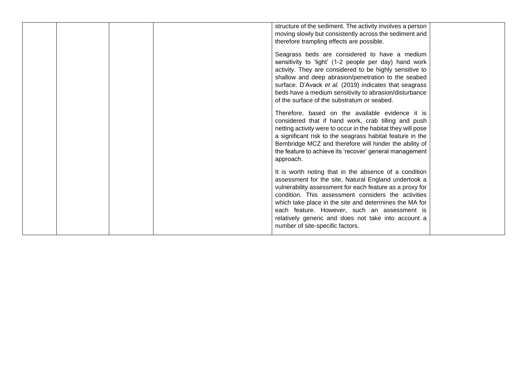|  |  | structure of the sediment. The activity involves a person<br>moving slowly but consistently across the sediment and<br>therefore trampling effects are possible.                                                                                                                                                                                                                                                                      |  |
|--|--|---------------------------------------------------------------------------------------------------------------------------------------------------------------------------------------------------------------------------------------------------------------------------------------------------------------------------------------------------------------------------------------------------------------------------------------|--|
|  |  | Seagrass beds are considered to have a medium<br>sensitivity to 'light' (1-2 people per day) hand work<br>activity. They are considered to be highly sensitive to<br>shallow and deep abrasion/penetration to the seabed<br>surface. D'Avack et al. (2019) indicates that seagrass<br>beds have a medium sensitivity to abrasion/disturbance<br>of the surface of the substratum or seabed.                                           |  |
|  |  | Therefore, based on the available evidence it is<br>considered that if hand work, crab tilling and push<br>netting activity were to occur in the habitat they will pose<br>a significant risk to the seagrass habitat feature in the<br>Bembridge MCZ and therefore will hinder the ability of<br>the feature to achieve its 'recover' general management<br>approach.                                                                |  |
|  |  | It is worth noting that in the absence of a condition<br>assessment for the site, Natural England undertook a<br>vulnerability assessment for each feature as a proxy for<br>condition. This assessment considers the activities<br>which take place in the site and determines the MA for<br>each feature. However, such an assessment is<br>relatively generic and does not take into account a<br>number of site-specific factors. |  |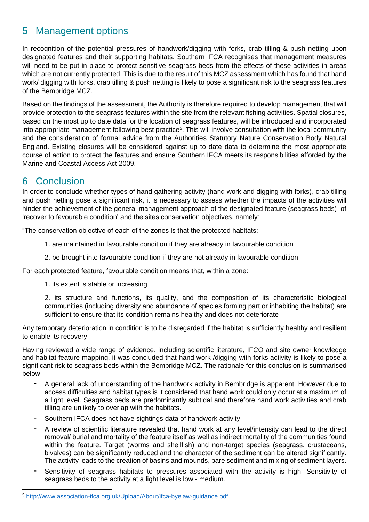## <span id="page-27-0"></span>5 Management options

In recognition of the potential pressures of handwork/digging with forks, crab tilling & push netting upon designated features and their supporting habitats, Southern IFCA recognises that management measures will need to be put in place to protect sensitive seagrass beds from the effects of these activities in areas which are not currently protected. This is due to the result of this MCZ assessment which has found that hand work/ digging with forks, crab tilling & push netting is likely to pose a significant risk to the seagrass features of the Bembridge MCZ.

Based on the findings of the assessment, the Authority is therefore required to develop management that will provide protection to the seagrass features within the site from the relevant fishing activities. Spatial closures, based on the most up to date data for the location of seagrass features, will be introduced and incorporated into appropriate management following best practice<sup>5</sup>. This will involve consultation with the local community and the consideration of formal advice from the Authorities Statutory Nature Conservation Body Natural England. Existing closures will be considered against up to date data to determine the most appropriate course of action to protect the features and ensure Southern IFCA meets its responsibilities afforded by the Marine and Coastal Access Act 2009.

## <span id="page-27-1"></span>6 Conclusion

In order to conclude whether types of hand gathering activity (hand work and digging with forks), crab tilling and push netting pose a significant risk, it is necessary to assess whether the impacts of the activities will hinder the achievement of the general management approach of the designated feature (seagrass beds) of 'recover to favourable condition' and the sites conservation objectives, namely:

"The conservation objective of each of the zones is that the protected habitats:

- 1. are maintained in favourable condition if they are already in favourable condition
- 2. be brought into favourable condition if they are not already in favourable condition

For each protected feature, favourable condition means that, within a zone:

1. its extent is stable or increasing

2. its structure and functions, its quality, and the composition of its characteristic biological communities (including diversity and abundance of species forming part or inhabiting the habitat) are sufficient to ensure that its condition remains healthy and does not deteriorate

Any temporary deterioration in condition is to be disregarded if the habitat is sufficiently healthy and resilient to enable its recovery.

Having reviewed a wide range of evidence, including scientific literature, IFCO and site owner knowledge and habitat feature mapping, it was concluded that hand work /digging with forks activity is likely to pose a significant risk to seagrass beds within the Bembridge MCZ. The rationale for this conclusion is summarised below:

- A general lack of understanding of the handwork activity in Bembridge is apparent. However due to access difficulties and habitat types is it considered that hand work could only occur at a maximum of a light level. Seagrass beds are predominantly subtidal and therefore hand work activities and crab tilling are unlikely to overlap with the habitats.
- Southern IFCA does not have sightings data of handwork activity.
- A review of scientific literature revealed that hand work at any level/intensity can lead to the direct removal/ burial and mortality of the feature itself as well as indirect mortality of the communities found within the feature. Target (worms and shellfish) and non-target species (seagrass, crustaceans, bivalves) can be significantly reduced and the character of the sediment can be altered significantly. The activity leads to the creation of basins and mounds, bare sediment and mixing of sediment layers.
- Sensitivity of seagrass habitats to pressures associated with the activity is high. Sensitivity of seagrass beds to the activity at a light level is low - medium.

<sup>5</sup> <http://www.association-ifca.org.uk/Upload/About/ifca-byelaw-guidance.pdf>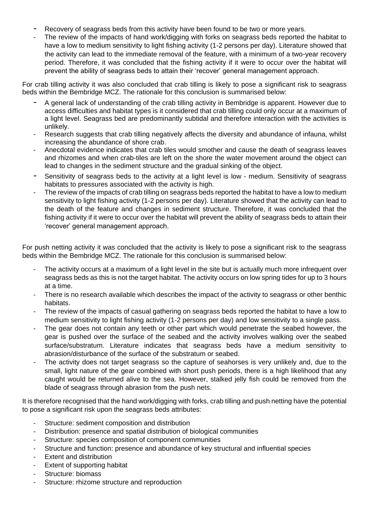- Recovery of seagrass beds from this activity have been found to be two or more years.
- The review of the impacts of hand work/digging with forks on seagrass beds reported the habitat to have a low to medium sensitivity to light fishing activity (1-2 persons per day). Literature showed that the activity can lead to the immediate removal of the feature, with a minimum of a two-year recovery period. Therefore, it was concluded that the fishing activity if it were to occur over the habitat will prevent the ability of seagrass beds to attain their 'recover' general management approach.

For crab tilling activity it was also concluded that crab tilling is likely to pose a significant risk to seagrass beds within the Bembridge MCZ. The rationale for this conclusion is summarised below:

- A general lack of understanding of the crab tilling activity in Bembridge is apparent. However due to access difficulties and habitat types is it considered that crab tilling could only occur at a maximum of a light level. Seagrass bed are predominantly subtidal and therefore interaction with the activities is unlikely.
- Research suggests that crab tilling negatively affects the diversity and abundance of infauna, whilst increasing the abundance of shore crab.
- Anecdotal evidence indicates that crab tiles would smother and cause the death of seagrass leaves and rhizomes and when crab-tiles are left on the shore the water movement around the object can lead to changes in the sediment structure and the gradual sinking of the object.
- Sensitivity of seagrass beds to the activity at a light level is low medium. Sensitivity of seagrass habitats to pressures associated with the activity is high.
- The review of the impacts of crab tilling on seagrass beds reported the habitat to have a low to medium sensitivity to light fishing activity (1-2 persons per day). Literature showed that the activity can lead to the death of the feature and changes in sediment structure. Therefore, it was concluded that the fishing activity if it were to occur over the habitat will prevent the ability of seagrass beds to attain their 'recover' general management approach.

For push netting activity it was concluded that the activity is likely to pose a significant risk to the seagrass beds within the Bembridge MCZ. The rationale for this conclusion is summarised below:

- The activity occurs at a maximum of a light level in the site but is actually much more infrequent over seagrass beds as this is not the target habitat. The activity occurs on low spring tides for up to 3 hours at a time.
- There is no research available which describes the impact of the activity to seagrass or other benthic habitats.
- The review of the impacts of casual gathering on seagrass beds reported the habitat to have a low to medium sensitivity to light fishing activity (1-2 persons per day) and low sensitivity to a single pass.
- The gear does not contain any teeth or other part which would penetrate the seabed however, the gear is pushed over the surface of the seabed and the activity involves walking over the seabed surface/substratum. Literature indicates that seagrass beds have a medium sensitivity to abrasion/disturbance of the surface of the substratum or seabed.
- The activity does not target seagrass so the capture of seahorses is very unlikely and, due to the small, light nature of the gear combined with short push periods, there is a high likelihood that any caught would be returned alive to the sea. However, stalked jelly fish could be removed from the blade of seagrass through abrasion from the push nets.

It is therefore recognised that the hand work/digging with forks, crab tilling and push netting have the potential to pose a significant risk upon the seagrass beds attributes:

- Structure: sediment composition and distribution
- Distribution: presence and spatial distribution of biological communities
- Structure: species composition of component communities
- Structure and function: presence and abundance of key structural and influential species
- **Extent and distribution**
- Extent of supporting habitat
- Structure: biomass
- Structure: rhizome structure and reproduction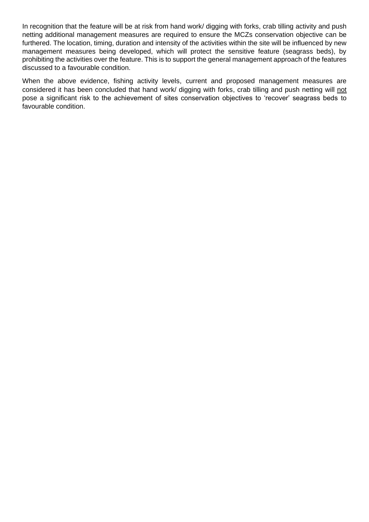In recognition that the feature will be at risk from hand work/ digging with forks, crab tilling activity and push netting additional management measures are required to ensure the MCZs conservation objective can be furthered. The location, timing, duration and intensity of the activities within the site will be influenced by new management measures being developed, which will protect the sensitive feature (seagrass beds), by prohibiting the activities over the feature. This is to support the general management approach of the features discussed to a favourable condition.

When the above evidence, fishing activity levels, current and proposed management measures are considered it has been concluded that hand work/ digging with forks, crab tilling and push netting will not pose a significant risk to the achievement of sites conservation objectives to 'recover' seagrass beds to favourable condition.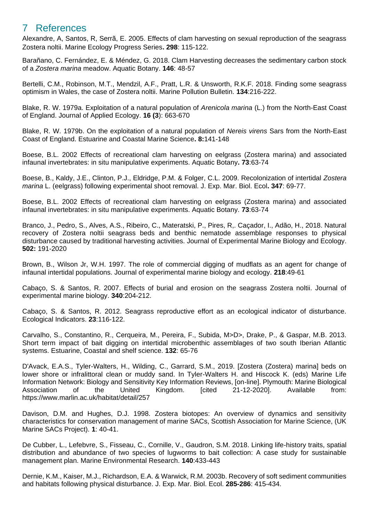## <span id="page-30-0"></span>7 References

Alexandre, A, Santos, R, Serrã, E. 2005. Effects of clam harvesting on sexual reproduction of the seagrass Zostera noltii. Marine Ecology Progress Series**. 298**: 115-122.

Barañano, C. Fernández, E. & Méndez, G. 2018. Clam Harvesting decreases the sedimentary carbon stock of a *Zostera marina* meadow. Aquatic Botany. **146**: 48-57

Bertelli, C.M., Robinson, M.T., Mendzil, A.F., Pratt, L.R. & Unsworth, R.K.F. 2018. Finding some seagrass optimism in Wales, the case of Zostera noltii. Marine Pollution Bulletin. **134**:216-222.

Blake, R. W. 1979a. Exploitation of a natural population of *Arenicola marina* (L.) from the North-East Coast of England. Journal of Applied Ecology. **16 (3**): 663-670

Blake, R. W. 1979b. On the exploitation of a natural population of *Nereis virens* Sars from the North-East Coast of England. Estuarine and Coastal Marine Science**. 8:**141-148

Boese, B.L. 2002 Effects of recreational clam harvesting on eelgrass (Zostera marina) and associated infaunal invertebrates: in situ manipulative experiments. Aquatic Botany**. 73**:63-74

Boese, B., Kaldy, J.E., Clinton, P.J., Eldridge, P.M. & Folger, C.L. 2009. Recolonization of intertidal *Zostera marina* L. (eelgrass) following experimental shoot removal. J. Exp. Mar. Biol. Ecol**. 347**: 69-77.

Boese, B.L. 2002 Effects of recreational clam harvesting on eelgrass (Zostera marina) and associated infaunal invertebrates: in situ manipulative experiments. Aquatic Botany. **73**:63-74

Branco, J., Pedro, S., Alves, A.S., Ribeiro, C., Materatski, P., Pires, R,. Caçador, I., Adão, H., 2018. Natural recovery of Zostera noltii seagrass beds and benthic nematode assemblage responses to physical disturbance caused by traditional harvesting activities. Journal of Experimental Marine Biology and Ecology. **502:** 191-2020

Brown, B., Wilson Jr, W.H. 1997. The role of commercial digging of mudflats as an agent for change of infaunal intertidal populations. Journal of experimental marine biology and ecology. **218**:49-61

Cabaço, S. & Santos, R. 2007. Effects of burial and erosion on the seagrass Zostera noltii. Journal of experimental marine biology. **340**:204-212.

Cabaço, S. & Santos, R. 2012. Seagrass reproductive effort as an ecological indicator of disturbance. Ecological Indicators. **23**:116-122.

Carvalho, S., Constantino, R., Cerqueira, M., Pereira, F., Subida, M>D>, Drake, P., & Gaspar, M.B. 2013. Short term impact of bait digging on intertidal microbenthic assemblages of two south Iberian Atlantic systems. Estuarine, Coastal and shelf science. **132**: 65-76

D'Avack, E.A.S., Tyler-Walters, H., Wilding, C., Garrard, S.M., 2019. [Zostera (Zostera) marina] beds on lower shore or infralittoral clean or muddy sand. In Tyler-Walters H. and Hiscock K. (eds) Marine Life Information Network: Biology and Sensitivity Key Information Reviews, [on-line]. Plymouth: Marine Biological Association of the United Kingdom. [cited 21-12-2020]. Available from: https://www.marlin.ac.uk/habitat/detail/257

Davison, D.M. and Hughes, D.J. 1998. Zostera biotopes: An overview of dynamics and sensitivity characteristics for conservation management of marine SACs, Scottish Association for Marine Science, (UK Marine SACs Project). **1**: 40-41.

De Cubber, L., Lefebvre, S., Fisseau, C., Cornille, V., Gaudron, S.M. 2018. Linking life-history traits, spatial distribution and abundance of two species of lugworms to bait collection: A case study for sustainable management plan. Marine Environmental Research. **140**:433-443

Dernie, K.M., Kaiser, M.J., Richardson, E.A. & Warwick, R.M. 2003b. Recovery of soft sediment communities and habitats following physical disturbance. J. Exp. Mar. Biol. Ecol. **285-286**: 415-434.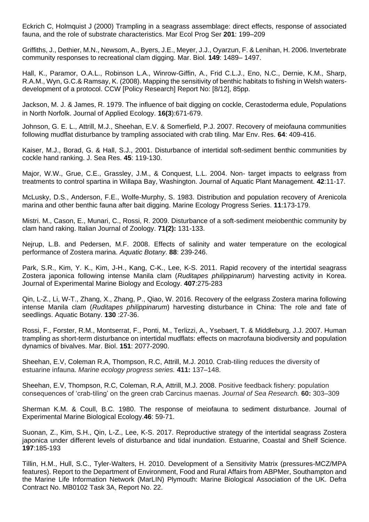Eckrich C, Holmquist J (2000) Trampling in a seagrass assemblage: direct effects, response of associated fauna, and the role of substrate characteristics. Mar Ecol Prog Ser **201**: 199–209

Griffiths, J., Dethier, M.N., Newsom, A., Byers, J.E., Meyer, J.J., Oyarzun, F. & Lenihan, H. 2006. Invertebrate community responses to recreational clam digging. Mar. Biol. **149**: 1489– 1497.

Hall, K., Paramor, O.A.L., Robinson L.A., Winrow-Giffin, A., Frid C.L.J., Eno, N.C., Dernie, K.M., Sharp, R.A.M., Wyn, G.C.& Ramsay, K. (2008). Mapping the sensitivity of benthic habitats to fishing in Welsh watersdevelopment of a protocol. CCW [Policy Research] Report No: [8/12], 85pp.

Jackson, M. J. & James, R. 1979. The influence of bait digging on cockle, Cerastoderma edule, Populations in North Norfolk. Journal of Applied Ecology. **16(3**):671-679.

Johnson, G. E. L., Attrill, M.J., Sheehan, E.V. & Somerfield, P.J. 2007. Recovery of meiofauna communities following mudflat disturbance by trampling associated with crab tiling. Mar Env. Res. **64**: 409-416.

Kaiser, M.J., Borad, G. & Hall, S.J., 2001. Disturbance of intertidal soft-sediment benthic communities by cockle hand ranking. J. Sea Res. **45**: 119-130.

Major, W.W., Grue, C.E., Grassley, J.M., & Conquest, L.L. 2004. Non- target impacts to eelgrass from treatments to control spartina in Willapa Bay, Washington. Journal of Aquatic Plant Management. **42**:11-17.

McLusky, D.S., Anderson, F.E., Wolfe-Murphy, S. 1983. Distribution and population recovery of Arenicola marina and other benthic fauna after bait digging. Marine Ecology Progress Series. **11**:173-179.

Mistri. M., Cason, E., Munari, C., Rossi, R. 2009. Disturbance of a soft-sediment meiobenthic community by clam hand raking. Italian Journal of Zoology. **71(2):** 131-133.

Nejrup, L.B. and Pedersen, M.F. 2008. Effects of salinity and water temperature on the ecological performance of Zostera marina. *Aquatic Botany*. **88**: 239-246.

Park, S.R., Kim, Y. K., Kim, J-H., Kang, C-K., Lee, K-S. 2011. Rapid recovery of the intertidal seagrass Zostera japonica following intense Manila clam (*Ruditapes philippinarum*) harvesting activity in Korea. Journal of Experimental Marine Biology and Ecology. **407**:275-283

Qin, L-Z., Li, W-T., Zhang, X., Zhang, P., Qiao, W. 2016. Recovery of the eelgrass Zostera marina following intense Manila clam (*Ruditapes philippinarum*) harvesting disturbance in China: The role and fate of seedlings. Aquatic Botany. **130** :27-36.

Rossi, F., Forster, R.M., Montserrat, F., Ponti, M., Terlizzi, A., Ysebaert, T. & Middleburg, J.J. 2007. Human trampling as short-term disturbance on intertidal mudflats: effects on macrofauna biodiversity and population dynamics of bivalves. Mar. Biol. **151**: 2077-2090.

Sheehan, E.V, Coleman R.A, Thompson, R.C, Attrill, M.J. 2010. Crab-tiling reduces the diversity of estuarine infauna. *Marine ecology progress series.* **411:** 137–148.

Sheehan, E.V, Thompson, R.C, Coleman, R.A, Attrill, M.J. 2008. Positive feedback fishery: population consequences of 'crab-tiling' on the green crab Carcinus maenas. *Journal of Sea Research.* **60:** 303–309

Sherman K.M. & Coull, B.C. 1980. The response of meiofauna to sediment disturbance. Journal of Experimental Marine Biological Ecology.**46**: 59-71.

Suonan, Z., Kim, S.H., Qin, L-Z., Lee, K-S. 2017. Reproductive strategy of the intertidal seagrass Zostera japonica under different levels of disturbance and tidal inundation. Estuarine, Coastal and Shelf Science. **197**:185-193

Tillin, H.M., Hull, S.C., Tyler-Walters, H. 2010. Development of a Sensitivity Matrix (pressures-MCZ/MPA features). Report to the Department of Environment, Food and Rural Affairs from ABPMer, Southampton and the Marine Life Information Network (MarLIN) Plymouth: Marine Biological Association of the UK. Defra Contract No. MB0102 Task 3A, Report No. 22.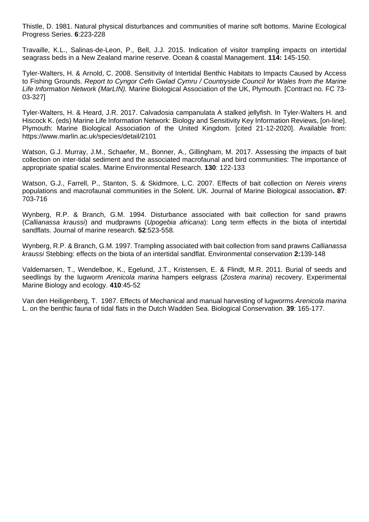Thistle, D. 1981. Natural physical disturbances and communities of marine soft bottoms. Marine Ecological Progress Series. **6**:223-228

Travaille, K.L., Salinas-de-Leon, P., Bell, J.J. 2015. Indication of visitor trampling impacts on intertidal seagrass beds in a New Zealand marine reserve. Ocean & coastal Management. **114:** 145-150.

Tyler-Walters, H. & Arnold, C. 2008. Sensitivity of Intertidal Benthic Habitats to Impacts Caused by Access to Fishing Grounds. *Report to Cyngor Cefn Gwlad Cymru / Countryside Council for Wales from the Marine Life Information Network (MarLIN).* Marine Biological Association of the UK, Plymouth. [Contract no. FC 73- 03-327]

Tyler-Walters, H. & Heard, J.R. 2017. Calvadosia campanulata A stalked jellyfish. In Tyler-Walters H. and Hiscock K. (eds) Marine Life Information Network: Biology and Sensitivity Key Information Reviews, [on-line]. Plymouth: Marine Biological Association of the United Kingdom. [cited 21-12-2020]. Available from: https://www.marlin.ac.uk/species/detail/2101

Watson, G.J. Murray, J.M., Schaefer, M., Bonner, A., Gillingham, M. 2017. Assessing the impacts of bait collection on inter-tidal sediment and the associated macrofaunal and bird communities: The importance of appropriate spatial scales. Marine Environmental Research. **130**: 122-133

Watson, G.J., Farrell, P., Stanton, S. & Skidmore, L.C. 2007. Effects of bait collection on *Nereis virens* populations and macrofaunal communities in the Solent. UK. Journal of Marine Biological association**. 87**: 703-716

Wynberg, R.P. & Branch, G.M. 1994. Disturbance associated with bait collection for sand prawns (*Callianassa kraussi*) and mudprawns (*Upogebia africana*): Long term effects in the biota of intertidal sandflats. Journal of marine research. **52**:523-558.

Wynberg, R.P. & Branch, G.M. 1997. Trampling associated with bait collection from sand prawns *Callianassa kraussi* Stebbing: effects on the biota of an intertidal sandflat. Environmental conservation **2:**139-148

Valdemarsen, T., Wendelboe, K., Egelund, J.T., Kristensen, E. & Flindt, M.R. 2011. Burial of seeds and seedlings by the lugworm *Arenicola marina* hampers eelgrass (*Zostera marina*) recovery. Experimental Marine Biology and ecology. **410**:45-52

Van den Heiligenberg, T. 1987. Effects of Mechanical and manual harvesting of lugworms *Arenicola marina* L. on the benthic fauna of tidal flats in the Dutch Wadden Sea. Biological Conservation. **39**: 165-177.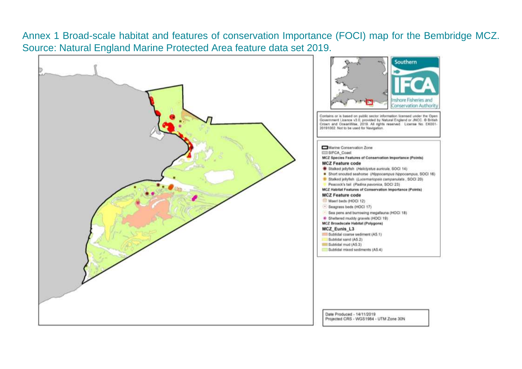Annex 1 Broad-scale habitat and features of conservation Importance (FOCI) map for the Bembridge MCZ. Source: Natural England Marine Protected Area feature data set 2019.

<span id="page-33-0"></span>



Date Produced - 14/11/2019 Projected CRS - WGS1984 - UTM Zone 30N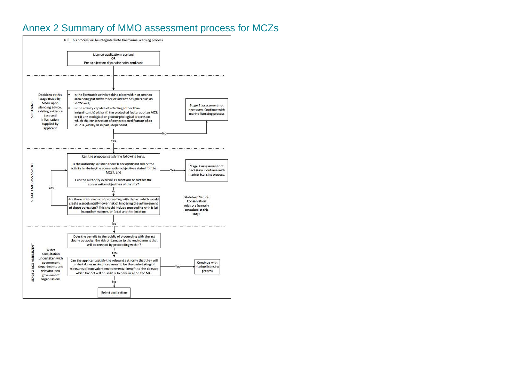## Annex 2 Summary of MMO assessment process for MCZs

<span id="page-34-0"></span>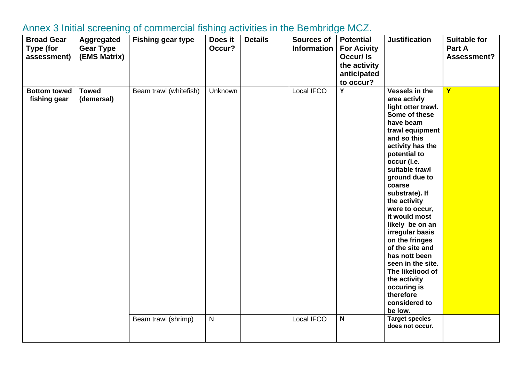<span id="page-35-0"></span>

| <b>Broad Gear</b><br>Type (for<br>assessment) | Aggregated<br><b>Gear Type</b><br>(EMS Matrix) | <b>Fishing gear type</b> | Does it<br>Occur? | <b>Details</b> | <b>Sources of</b><br><b>Information</b> | <b>Potential</b><br><b>For Acivity</b><br>Occur/ Is<br>the activity<br>anticipated<br>to occur? | <b>Justification</b>                                                                                                                                                                                                                                                                                                                                                                                                                                                                                   | <b>Suitable for</b><br>Part A<br>Assessment? |
|-----------------------------------------------|------------------------------------------------|--------------------------|-------------------|----------------|-----------------------------------------|-------------------------------------------------------------------------------------------------|--------------------------------------------------------------------------------------------------------------------------------------------------------------------------------------------------------------------------------------------------------------------------------------------------------------------------------------------------------------------------------------------------------------------------------------------------------------------------------------------------------|----------------------------------------------|
| <b>Bottom towed</b><br>fishing gear           | <b>Towed</b><br>(demersal)                     | Beam trawl (whitefish)   | Unknown           |                | Local IFCO                              | Y                                                                                               | Vessels in the<br>area activly<br>light otter trawl.<br>Some of these<br>have beam<br>trawl equipment<br>and so this<br>activity has the<br>potential to<br>occur (i.e.<br>suitable trawl<br>ground due to<br>coarse<br>substrate). If<br>the activity<br>were to occur,<br>it would most<br>likely be on an<br>irregular basis<br>on the fringes<br>of the site and<br>has nott been<br>seen in the site.<br>The likeliood of<br>the activity<br>occuring is<br>therefore<br>considered to<br>be low. | Ÿ                                            |
|                                               |                                                | Beam trawl (shrimp)      | $\mathsf{N}$      |                | Local IFCO                              | $\mathsf{N}$                                                                                    | <b>Target species</b><br>does not occur.                                                                                                                                                                                                                                                                                                                                                                                                                                                               |                                              |

## Annex 3 Initial screening of commercial fishing activities in the Bembridge MCZ.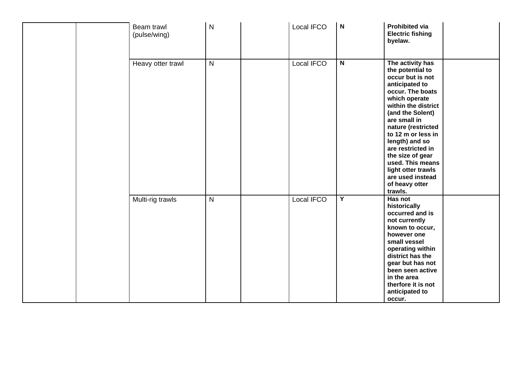| Beam trawl<br>(pulse/wing) | $\mathsf{N}$ | Local IFCO | $\mathbf N$             | <b>Prohibited via</b><br><b>Electric fishing</b><br>byelaw.                                                                                                                                                                                                                                                                                                                  |
|----------------------------|--------------|------------|-------------------------|------------------------------------------------------------------------------------------------------------------------------------------------------------------------------------------------------------------------------------------------------------------------------------------------------------------------------------------------------------------------------|
| Heavy otter trawl          | $\mathsf{N}$ | Local IFCO | $\mathsf{N}$            | The activity has<br>the potential to<br>occur but is not<br>anticipated to<br>occur. The boats<br>which operate<br>within the district<br>(and the Solent)<br>are small in<br>nature (restricted<br>to 12 m or less in<br>length) and so<br>are restricted in<br>the size of gear<br>used. This means<br>light otter trawls<br>are used instead<br>of heavy otter<br>trawls. |
| Multi-rig trawls           | ${\sf N}$    | Local IFCO | $\overline{\mathsf{Y}}$ | Has not<br>historically<br>occurred and is<br>not currently<br>known to occur,<br>however one<br>small vessel<br>operating within<br>district has the<br>gear but has not<br>been seen active<br>in the area<br>therfore it is not<br>anticipated to<br>occur.                                                                                                               |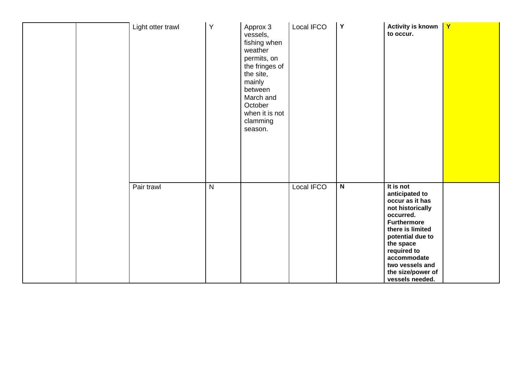|  | Light otter trawl | Y         | Approx 3<br>vessels,<br>fishing when<br>weather<br>permits, on<br>the fringes of<br>the site,<br>mainly<br>between<br>March and<br>October<br>when it is not<br>clamming<br>season. | Local IFCO | $\mathsf Y$  | <b>Activity is known</b><br>to occur.                                                                                                                                                                                                               | $\mathbf{Y}$ |
|--|-------------------|-----------|-------------------------------------------------------------------------------------------------------------------------------------------------------------------------------------|------------|--------------|-----------------------------------------------------------------------------------------------------------------------------------------------------------------------------------------------------------------------------------------------------|--------------|
|  | Pair trawl        | ${\sf N}$ |                                                                                                                                                                                     | Local IFCO | $\mathsf{N}$ | It is not<br>anticipated to<br>occur as it has<br>not historically<br>occurred.<br><b>Furthermore</b><br>there is limited<br>potential due to<br>the space<br>required to<br>accommodate<br>two vessels and<br>the size/power of<br>vessels needed. |              |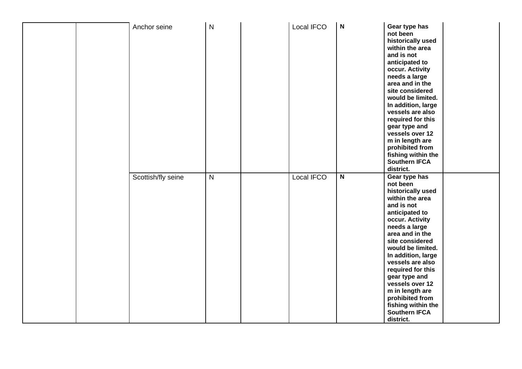| Anchor seine       | $\mathsf{N}$ | Local IFCO        | $\mathbf N$             | Gear type has<br>not been<br>historically used<br>within the area<br>and is not<br>anticipated to<br>occur. Activity<br>needs a large<br>area and in the<br>site considered<br>would be limited.<br>In addition, large<br>vessels are also<br>required for this<br>gear type and<br>vessels over 12<br>m in length are<br>prohibited from<br>fishing within the<br><b>Southern IFCA</b><br>district. |
|--------------------|--------------|-------------------|-------------------------|------------------------------------------------------------------------------------------------------------------------------------------------------------------------------------------------------------------------------------------------------------------------------------------------------------------------------------------------------------------------------------------------------|
| Scottish/fly seine | $\mathsf{N}$ | <b>Local IFCO</b> | $\overline{\mathbf{N}}$ | Gear type has<br>not been<br>historically used<br>within the area<br>and is not<br>anticipated to<br>occur. Activity<br>needs a large<br>area and in the<br>site considered<br>would be limited.<br>In addition, large<br>vessels are also<br>required for this<br>gear type and<br>vessels over 12<br>m in length are<br>prohibited from<br>fishing within the<br><b>Southern IFCA</b><br>district. |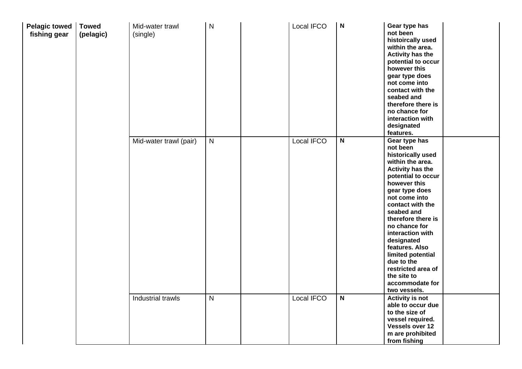| Pelagic towed<br>fishing gear | <b>Towed</b><br>(pelagic) | Mid-water trawl<br>(single) | N            | Local IFCO | $\mathsf{N}$            | Gear type has<br>not been<br>histoircally used<br>within the area.<br><b>Activity has the</b><br>potential to occur<br>however this<br>gear type does<br>not come into<br>contact with the<br>seabed and<br>therefore there is<br>no chance for<br>interaction with<br>designated<br>features.                                                                                                                 |  |
|-------------------------------|---------------------------|-----------------------------|--------------|------------|-------------------------|----------------------------------------------------------------------------------------------------------------------------------------------------------------------------------------------------------------------------------------------------------------------------------------------------------------------------------------------------------------------------------------------------------------|--|
|                               |                           | Mid-water trawl (pair)      | $\mathsf{N}$ | Local IFCO | $\overline{\mathsf{N}}$ | Gear type has<br>not been<br>historically used<br>within the area.<br><b>Activity has the</b><br>potential to occur<br>however this<br>gear type does<br>not come into<br>contact with the<br>seabed and<br>therefore there is<br>no chance for<br>interaction with<br>designated<br>features. Also<br>limited potential<br>due to the<br>restricted area of<br>the site to<br>accommodate for<br>two vessels. |  |
|                               |                           | Industrial trawls           | N            | Local IFCO | $\overline{\mathbf{N}}$ | <b>Activity is not</b><br>able to occur due<br>to the size of<br>vessel required.<br>Vessels over 12<br>m are prohibited<br>from fishing                                                                                                                                                                                                                                                                       |  |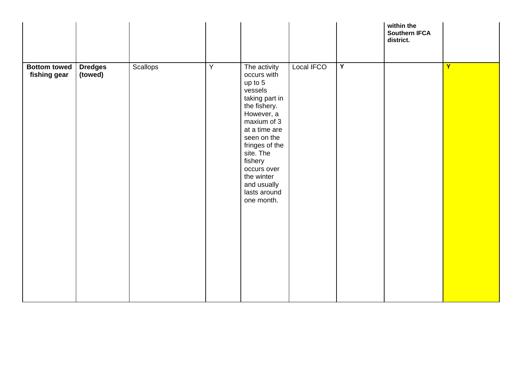|                                     |                           |          |                |                                                                                                                                                                                                                                                                      |            |                | within the<br><b>Southern IFCA</b><br>district. |   |
|-------------------------------------|---------------------------|----------|----------------|----------------------------------------------------------------------------------------------------------------------------------------------------------------------------------------------------------------------------------------------------------------------|------------|----------------|-------------------------------------------------|---|
| <b>Bottom towed</b><br>fishing gear | <b>Dredges</b><br>(towed) | Scallops | $\overline{Y}$ | The activity<br>occurs with<br>up to 5<br>vessels<br>taking part in<br>the fishery.<br>However, a<br>maxium of 3<br>at a time are<br>seen on the<br>fringes of the<br>site. The<br>fishery<br>occurs over<br>the winter<br>and usually<br>lasts around<br>one month. | Local IFCO | $\overline{Y}$ |                                                 | Y |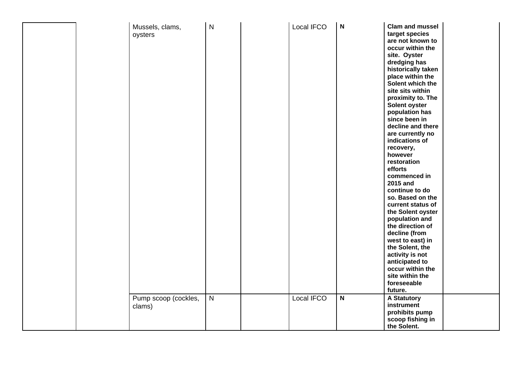|  | Mussels, clams,<br>oysters<br>Pump scoop (cockles, | $\mathsf{N}$<br>$\overline{N}$ | Local IFCO<br>Local IFCO | N<br>$\mathsf{N}$ | <b>Clam and mussel</b><br>target species<br>are not known to<br>occur within the<br>site. Oyster<br>dredging has<br>historically taken<br>place within the<br>Solent which the<br>site sits within<br>proximity to. The<br>Solent oyster<br>population has<br>since been in<br>decline and there<br>are currently no<br>indications of<br>recovery,<br>however<br>restoration<br>efforts<br>commenced in<br>2015 and<br>continue to do<br>so. Based on the<br>current status of<br>the Solent oyster<br>population and<br>the direction of<br>decline (from<br>west to east) in<br>the Solent, the<br>activity is not<br>anticipated to<br>occur within the<br>site within the<br>foreseeable<br>future.<br><b>A Statutory</b> |  |
|--|----------------------------------------------------|--------------------------------|--------------------------|-------------------|--------------------------------------------------------------------------------------------------------------------------------------------------------------------------------------------------------------------------------------------------------------------------------------------------------------------------------------------------------------------------------------------------------------------------------------------------------------------------------------------------------------------------------------------------------------------------------------------------------------------------------------------------------------------------------------------------------------------------------|--|
|  | clams)                                             |                                |                          |                   | instrument<br>prohibits pump<br>scoop fishing in<br>the Solent.                                                                                                                                                                                                                                                                                                                                                                                                                                                                                                                                                                                                                                                                |  |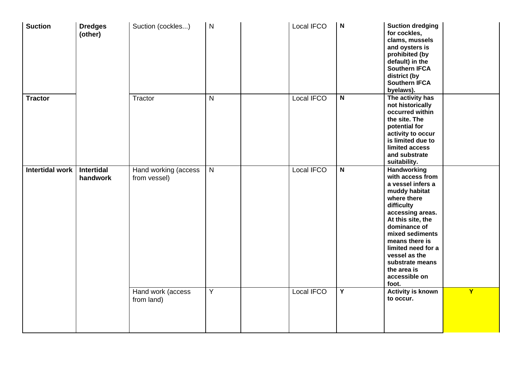| <b>Suction</b>         | <b>Dredges</b><br>(other)     | Suction (cockles)                    | $\mathsf{N}$   | Local IFCO        | $\boldsymbol{\mathsf{N}}$ | <b>Suction dredging</b><br>for cockles,<br>clams, mussels<br>and oysters is<br>prohibited (by<br>default) in the<br><b>Southern IFCA</b><br>district (by<br><b>Southern IFCA</b><br>byelaws).                                                                                                       |   |
|------------------------|-------------------------------|--------------------------------------|----------------|-------------------|---------------------------|-----------------------------------------------------------------------------------------------------------------------------------------------------------------------------------------------------------------------------------------------------------------------------------------------------|---|
| <b>Tractor</b>         |                               | Tractor                              | $\mathsf{N}$   | Local IFCO        | $\mathsf{N}$              | The activity has<br>not historically<br>occurred within<br>the site. The<br>potential for<br>activity to occur<br>is limited due to<br>limited access<br>and substrate<br>suitability.                                                                                                              |   |
| <b>Intertidal work</b> | <b>Intertidal</b><br>handwork | Hand working (access<br>from vessel) | $\overline{N}$ | <b>Local IFCO</b> | $\overline{\mathbf{N}}$   | Handworking<br>with access from<br>a vessel infers a<br>muddy habitat<br>where there<br>difficulty<br>accessing areas.<br>At this site, the<br>dominance of<br>mixed sediments<br>means there is<br>limited need for a<br>vessel as the<br>substrate means<br>the area is<br>accessible on<br>foot. |   |
|                        |                               | Hand work (access<br>from land)      | $\overline{Y}$ | Local IFCO        | $\overline{Y}$            | <b>Activity is known</b><br>to occur.                                                                                                                                                                                                                                                               | Y |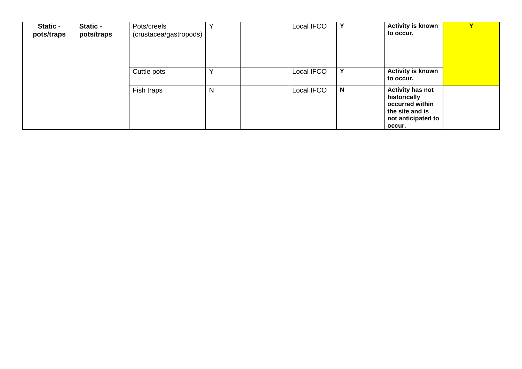| Static -<br>pots/traps | Static -<br>pots/traps | Pots/creels<br>(crustacea/gastropods) |   | Local IFCO | Y            | <b>Activity is known</b><br>to occur.                                                                         |  |
|------------------------|------------------------|---------------------------------------|---|------------|--------------|---------------------------------------------------------------------------------------------------------------|--|
|                        |                        | Cuttle pots                           |   | Local IFCO | Y            | <b>Activity is known</b><br>to occur.                                                                         |  |
|                        |                        | Fish traps                            | N | Local IFCO | $\mathsf{N}$ | <b>Activity has not</b><br>historically<br>occurred within<br>the site and is<br>not anticipated to<br>occur. |  |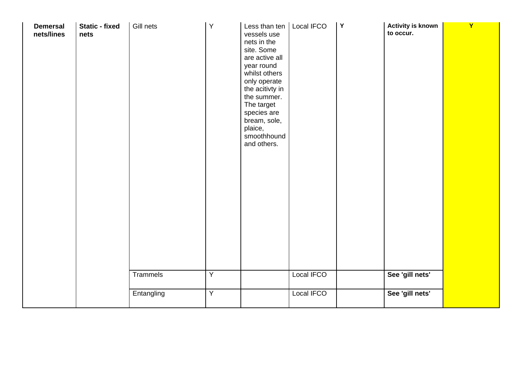| <b>Demersal</b><br>nets/lines | <b>Static - fixed</b><br>nets | Gill nets<br><b>Trammels</b> | $\sf Y$<br>$\overline{Y}$ | Less than ten   Local IFCO<br>vessels use<br>nets in the<br>site. Some<br>are active all<br>year round<br>whilst others<br>only operate<br>the acitivty in<br>the summer.<br>The target<br>species are<br>bream, sole,<br>plaice,<br>smoothhound<br>and others. | Local IFCO | Y | <b>Activity is known</b><br>to occur.<br>See 'gill nets' | $\mathbf{Y}$ |
|-------------------------------|-------------------------------|------------------------------|---------------------------|-----------------------------------------------------------------------------------------------------------------------------------------------------------------------------------------------------------------------------------------------------------------|------------|---|----------------------------------------------------------|--------------|
|                               |                               | Entangling                   | $\overline{Y}$            |                                                                                                                                                                                                                                                                 | Local IFCO |   | See 'gill nets'                                          |              |
|                               |                               |                              |                           |                                                                                                                                                                                                                                                                 |            |   |                                                          |              |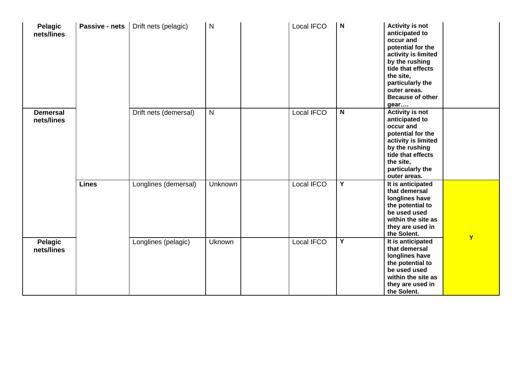| Pelagic<br>nets/lines         | Passive - nets | Drift nets (pelagic)  | $\mathsf{N}$   | Local IFCO | $\boldsymbol{\mathsf{N}}$ | <b>Activity is not</b><br>anticipated to<br>occur and<br>potential for the<br>activity is limited<br>by the rushing<br>tide that effects<br>the site,<br>particularly the<br>outer areas.<br><b>Because of other</b><br>gear |   |
|-------------------------------|----------------|-----------------------|----------------|------------|---------------------------|------------------------------------------------------------------------------------------------------------------------------------------------------------------------------------------------------------------------------|---|
| <b>Demersal</b><br>nets/lines |                | Drift nets (demersal) | $\mathsf{N}$   | Local IFCO | $\mathsf{N}$              | <b>Activity is not</b><br>anticipated to<br>occur and<br>potential for the<br>activity is limited<br>by the rushing<br>tide that effects<br>the site,<br>particularly the<br>outer areas.                                    |   |
|                               | <b>Lines</b>   | Longlines (demersal)  | <b>Unknown</b> | Local IFCO | Y                         | It is anticipated<br>that demersal<br>longlines have<br>the potential to<br>be used used<br>within the site as<br>they are used in<br>the Solent.                                                                            |   |
| Pelagic<br>nets/lines         |                | Longlines (pelagic)   | Uknown         | Local IFCO | Y                         | It is anticipated<br>that demersal<br>longlines have<br>the potential to<br>be used used<br>within the site as<br>they are used in<br>the Solent.                                                                            | Y |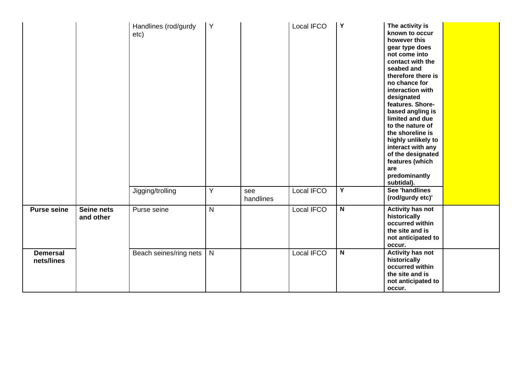|                               |                         | Handlines (rod/gurdy<br>etc) | Y            |                  | Local IFCO | $\mathbf Y$    | The activity is<br>known to occur<br>however this<br>gear type does<br>not come into<br>contact with the<br>seabed and<br>therefore there is<br>no chance for<br>interaction with<br>designated<br>features. Shore-<br>based angling is<br>limited and due<br>to the nature of<br>the shoreline is<br>highly unlikely to<br>interact with any<br>of the designated<br>features (which<br>are<br>predominantly<br>subtidal). |  |
|-------------------------------|-------------------------|------------------------------|--------------|------------------|------------|----------------|-----------------------------------------------------------------------------------------------------------------------------------------------------------------------------------------------------------------------------------------------------------------------------------------------------------------------------------------------------------------------------------------------------------------------------|--|
|                               |                         | Jigging/trolling             | Y            | see<br>handlines | Local IFCO | $\overline{Y}$ | <b>See 'handlines</b><br>(rod/gurdy etc)'                                                                                                                                                                                                                                                                                                                                                                                   |  |
| <b>Purse seine</b>            | Seine nets<br>and other | Purse seine                  | $\mathsf{N}$ |                  | Local IFCO | $\mathsf N$    | <b>Activity has not</b><br>historically<br>occurred within<br>the site and is<br>not anticipated to<br>occur.                                                                                                                                                                                                                                                                                                               |  |
| <b>Demersal</b><br>nets/lines |                         | Beach seines/ring nets       | N            |                  | Local IFCO | $\mathsf N$    | <b>Activity has not</b><br>historically<br>occurred within<br>the site and is<br>not anticipated to<br>occur.                                                                                                                                                                                                                                                                                                               |  |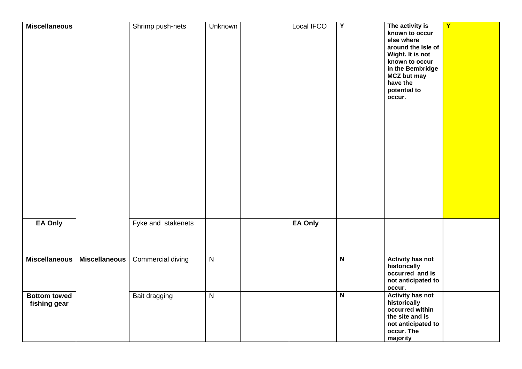| <b>Miscellaneous</b>                |                      | Shrimp push-nets   | Unknown        | Local IFCO | $\mathbf Y$             | The activity is<br>known to occur<br>else where<br>around the Isle of<br>Wight. It is not<br>known to occur<br>in the Bembridge<br><b>MCZ but may</b><br>have the<br>potential to<br>occur. | $\mathbf{Y}$ |
|-------------------------------------|----------------------|--------------------|----------------|------------|-------------------------|---------------------------------------------------------------------------------------------------------------------------------------------------------------------------------------------|--------------|
| EA Only                             |                      | Fyke and stakenets |                | EA Only    |                         |                                                                                                                                                                                             |              |
| <b>Miscellaneous</b>                | <b>Miscellaneous</b> | Commercial diving  | $\overline{N}$ |            | $\overline{\mathsf{N}}$ | <b>Activity has not</b><br>historically<br>occurred and is<br>not anticipated to<br>occur.                                                                                                  |              |
| <b>Bottom towed</b><br>fishing gear |                      | Bait dragging      | $\overline{N}$ |            | $\overline{\mathsf{N}}$ | <b>Activity has not</b><br>historically<br>occurred within<br>the site and is<br>not anticipated to<br>occur. The<br>majority                                                               |              |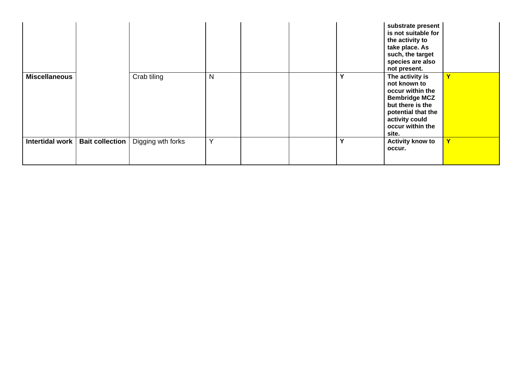<span id="page-48-0"></span>

|                        |                        |                   |   |  |   | substrate present<br>is not suitable for<br>the activity to<br>take place. As<br>such, the target<br>species are also<br>not present.                                |                         |
|------------------------|------------------------|-------------------|---|--|---|----------------------------------------------------------------------------------------------------------------------------------------------------------------------|-------------------------|
| <b>Miscellaneous</b>   |                        | Crab tiling       | N |  | Υ | The activity is<br>not known to<br>occur within the<br><b>Bembridge MCZ</b><br>but there is the<br>potential that the<br>activity could<br>occur within the<br>site. | $\overline{\mathbf{Y}}$ |
| <b>Intertidal work</b> | <b>Bait collection</b> | Digging wth forks | Y |  | Y | <b>Activity know to</b><br>occur.                                                                                                                                    | $\overline{\mathbf{v}}$ |